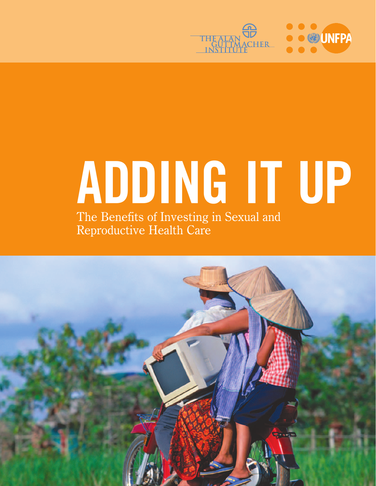

# **ADDING IT UP** The Benefits of Investing in Sexual and Reproductive Health Care

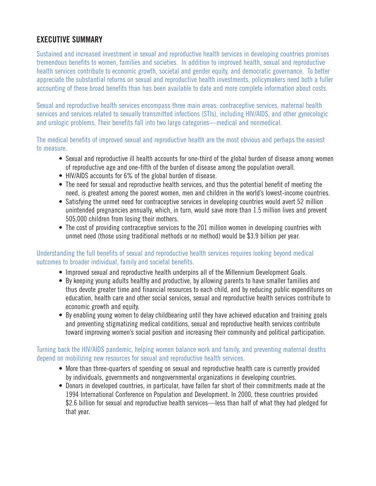# **EXECUTIVE SUMMARY**

Sustained and increased investment in sexual and reproductive health services in developing countries promises tremendous benefits to women, families and societies. In addition to improved health, sexual and reproductive health services contribute to economic growth, societal and gender equity, and democratic governance. To better appreciate the substantial returns on sexual and reproductive health investments, policymakers need both a fuller accounting of these broad benefits than has been available to date and more complete information about costs.

Sexual and reproductive health services encompass three main areas: contraceptive services, maternal health services and services related to sexually transmitted infections (STIs), including HIV/AIDS, and other gynecologic and urologic problems. Their benefits fall into two large categories—medical and nonmedical.

The medical benefits of improved sexual and reproductive health are the most obvious and perhaps the easiest to measure.

- Sexual and reproductive ill health accounts for one-third of the global burden of disease among women of reproductive age and one-fifth of the burden of disease among the population overall.
- HIV/AIDS accounts for 6% of the global burden of disease.
- The need for sexual and reproductive health services, and thus the potential benefit of meeting the need, is greatest among the poorest women, men and children in the world's lowest-income countries.
- Satisfying the unmet need for contraceptive services in developing countries would avert 52 million unintended pregnancies annually, which, in turn, would save more than 1.5 million lives and prevent 505,000 children from losing their mothers.
- The cost of providing contraceptive services to the 201 million women in developing countries with unmet need (those using traditional methods or no method) would be \$3.9 billion per year.

#### Understanding the full benefits of sexual and reproductive health services requires looking beyond medical outcomes to broader individual, family and societal benefits.

- Improved sexual and reproductive health underpins all of the Millennium Development Goals.
- By keeping young adults healthy and productive, by allowing parents to have smaller families and thus devote greater time and financial resources to each child, and by reducing public expenditures on education, health care and other social services, sexual and reproductive health services contribute to economic growth and equity.
- By enabling young women to delay childbearing until they have achieved education and training goals and preventing stigmatizing medical conditions, sexual and reproductive health services contribute toward improving women's social position and increasing their community and political participation.

Turning back the HIV/AIDS pandemic, helping women balance work and family, and preventing maternal deaths depend on mobilizing new resources for sexual and reproductive health services.

- More than three-quarters of spending on sexual and reproductive health care is currently provided by individuals, governments and nongovernmental organizations in developing countries.
- Donors in developed countries, in particular, have fallen far short of their commitments made at the 1994 International Conference on Population and Development. In 2000, these countries provided \$2.6 billion for sexual and reproductive health services—less than half of what they had pledged for that year.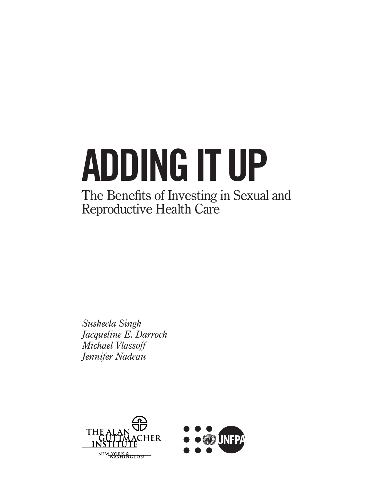# **ADDING IT UP**

# The Benefits of Investing in Sexual and Reproductive Health Care

*Susheela Singh Jacqueline E. Darroch Michael Vlassoff Jennifer Nadeau*

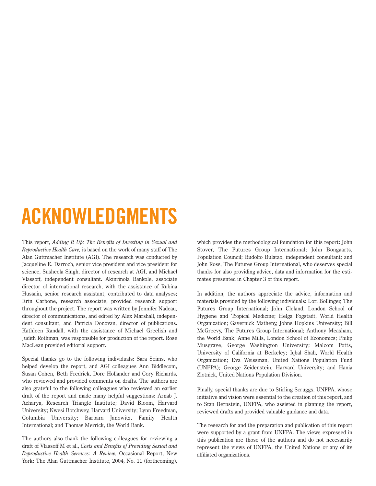# **ACKNOWLEDGMENTS**

This report, *Adding It Up: The Benefits of Investing in Sexual and Reproductive Health Care,* is based on the work of many staff of The Alan Guttmacher Institute (AGI). The research was conducted by Jacqueline E. Darroch, senior vice president and vice president for science, Susheela Singh, director of research at AGI, and Michael Vlassoff, independent consultant. Akinrinola Bankole, associate director of international research, with the assistance of Rubina Hussain, senior research assistant, contributed to data analyses; Erin Carbone, research associate, provided research support throughout the project. The report was written by Jennifer Nadeau, director of communications, and edited by Alex Marshall, independent consultant, and Patricia Donovan, director of publications. Kathleen Randall, with the assistance of Michael Greelish and Judith Rothman, was responsible for production of the report. Rose MacLean provided editorial support.

Special thanks go to the following individuals: Sara Seims, who helped develop the report, and AGI colleagues Ann Biddlecom, Susan Cohen, Beth Fredrick, Dore Hollander and Cory Richards, who reviewed and provided comments on drafts. The authors are also grateful to the following colleagues who reviewed an earlier draft of the report and made many helpful suggestions: Arnab J. Acharya, Research Triangle Institute; David Bloom, Harvard University; Kwesi Botchwey, Harvard University; Lynn Freedman, Columbia University; Barbara Janowitz, Family Health International; and Thomas Merrick, the World Bank.

The authors also thank the following colleagues for reviewing a draft of Vlassoff M et al., *Costs and Benefits of Providing Sexual and Reproductive Health Services: A Review,* Occasional Report, New York: The Alan Guttmacher Institute, 2004, No. 11 (forthcoming), which provides the methodological foundation for this report: John Stover, The Futures Group International; John Bongaarts, Population Council; Rudolfo Bulatao, independent consultant; and John Ross, The Futures Group International, who deserves special thanks for also providing advice, data and information for the estimates presented in Chapter 3 of this report.

In addition, the authors appreciate the advice, information and materials provided by the following individuals: Lori Bollinger, The Futures Group International; John Cleland, London School of Hygiene and Tropical Medicine; Helga Fogstadt, World Health Organization; Gavernick Matheny, Johns Hopkins University; Bill McGreevy, The Futures Group International; Anthony Measham, the World Bank; Anne Mills, London School of Economics; Philip Musgrave, George Washington University; Malcom Potts, University of California at Berkeley; Iqbal Shah, World Health Organization; Eva Weissman, United Nations Population Fund (UNFPA); George Zeidenstein, Harvard University; and Hania Zlotnick, United Nations Population Division.

Finally, special thanks are due to Stirling Scruggs, UNFPA, whose initiative and vision were essential to the creation of this report, and to Stan Bernstein, UNFPA, who assisted in planning the report, reviewed drafts and provided valuable guidance and data.

The research for and the preparation and publication of this report were supported by a grant from UNFPA. The views expressed in this publication are those of the authors and do not necessarily represent the views of UNFPA, the United Nations or any of its affiliated organizations.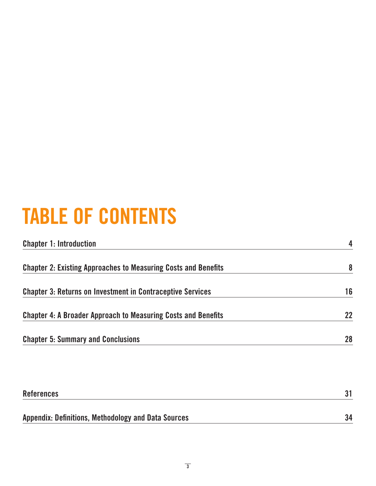# **TABLE OF CONTENTS**

| <b>Chapter 1: Introduction</b>                                        | $\overline{\mathbf{4}}$ |
|-----------------------------------------------------------------------|-------------------------|
| <b>Chapter 2: Existing Approaches to Measuring Costs and Benefits</b> | 8                       |
| <b>Chapter 3: Returns on Investment in Contraceptive Services</b>     | 16                      |
| <b>Chapter 4: A Broader Approach to Measuring Costs and Benefits</b>  | 22                      |
| <b>Chapter 5: Summary and Conclusions</b>                             | 28                      |

| References                                          |    |
|-----------------------------------------------------|----|
|                                                     |    |
| Appendix: Definitions, Methodology and Data Sources | 34 |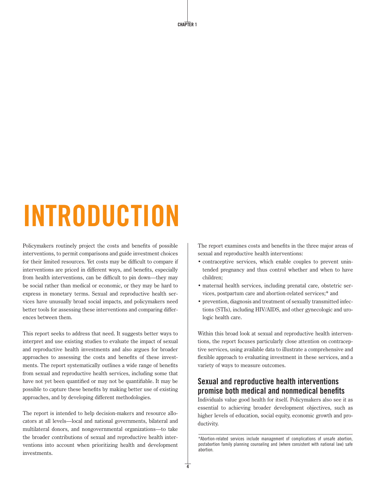**CHAPTER 1**

# **INTRODUCTION**

Policymakers routinely project the costs and benefits of possible interventions, to permit comparisons and guide investment choices for their limited resources. Yet costs may be difficult to compare if interventions are priced in different ways, and benefits, especially from health interventions, can be difficult to pin down—they may be social rather than medical or economic, or they may be hard to express in monetary terms. Sexual and reproductive health services have unusually broad social impacts, and policymakers need better tools for assessing these interventions and comparing differences between them.

This report seeks to address that need. It suggests better ways to interpret and use existing studies to evaluate the impact of sexual and reproductive health investments and also argues for broader approaches to assessing the costs and benefits of these investments. The report systematically outlines a wide range of benefits from sexual and reproductive health services, including some that have not yet been quantified or may not be quantifiable. It may be possible to capture these benefits by making better use of existing approaches, and by developing different methodologies.

The report is intended to help decision-makers and resource allocators at all levels—local and national governments, bilateral and multilateral donors, and nongovernmental organizations—to take the broader contributions of sexual and reproductive health interventions into account when prioritizing health and development investments.

The report examines costs and benefits in the three major areas of sexual and reproductive health interventions:

- contraceptive services, which enable couples to prevent unintended pregnancy and thus control whether and when to have children;
- maternal health services, including prenatal care, obstetric services, postpartum care and abortion-related services;\* and
- prevention, diagnosis and treatment of sexually transmitted infections (STIs), including HIV/AIDS, and other gynecologic and urologic health care.

Within this broad look at sexual and reproductive health interventions, the report focuses particularly close attention on contraceptive services, using available data to illustrate a comprehensive and flexible approach to evaluating investment in these services, and a variety of ways to measure outcomes.

# **Sexual and reproductive health interventions promise both medical and nonmedical benefits**

Individuals value good health for itself. Policymakers also see it as essential to achieving broader development objectives, such as higher levels of education, social equity, economic growth and productivity.

<sup>\*</sup>Abortion-related services include management of complications of unsafe abortion, postabortion family planning counseling and (where consistent with national law) safe abortion.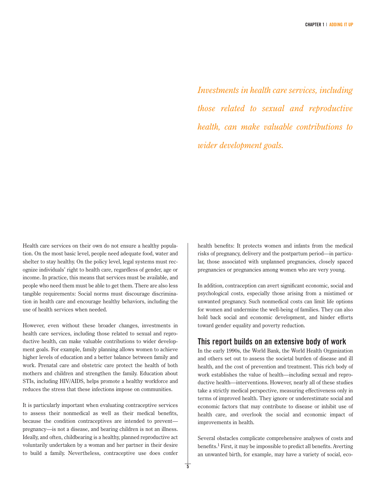*Investments in health care services, including those related to sexual and reproductive health, can make valuable contributions to wider development goals.*

Health care services on their own do not ensure a healthy population. On the most basic level, people need adequate food, water and shelter to stay healthy. On the policy level, legal systems must recognize individuals' right to health care, regardless of gender, age or income. In practice, this means that services must be available, and people who need them must be able to get them. There are also less tangible requirements: Social norms must discourage discrimination in health care and encourage healthy behaviors, including the use of health services when needed.

However, even without these broader changes, investments in health care services, including those related to sexual and reproductive health, can make valuable contributions to wider development goals. For example, family planning allows women to achieve higher levels of education and a better balance between family and work. Prenatal care and obstetric care protect the health of both mothers and children and strengthen the family. Education about STIs, including HIV/AIDS, helps promote a healthy workforce and reduces the stress that these infections impose on communities.

It is particularly important when evaluating contraceptive services to assess their nonmedical as well as their medical benefits, because the condition contraceptives are intended to prevent pregnancy—is not a disease, and bearing children is not an illness. Ideally, and often, childbearing is a healthy, planned reproductive act voluntarily undertaken by a woman and her partner in their desire to build a family. Nevertheless, contraceptive use does confer health benefits: It protects women and infants from the medical risks of pregnancy, delivery and the postpartum period—in particular, those associated with unplanned pregnancies, closely spaced pregnancies or pregnancies among women who are very young.

In addition, contraception can avert significant economic, social and psychological costs, especially those arising from a mistimed or unwanted pregnancy. Such nonmedical costs can limit life options for women and undermine the well-being of families. They can also hold back social and economic development, and hinder efforts toward gender equality and poverty reduction.

#### **This report builds on an extensive body of work**

In the early 1990s, the World Bank, the World Health Organization and others set out to assess the societal burden of disease and ill health, and the cost of prevention and treatment. This rich body of work establishes the value of health—including sexual and reproductive health—interventions. However, nearly all of these studies take a strictly medical perspective, measuring effectiveness only in terms of improved health. They ignore or underestimate social and economic factors that may contribute to disease or inhibit use of health care, and overlook the social and economic impact of improvements in health.

Several obstacles complicate comprehensive analyses of costs and benefits.1 First, it may be impossible to predict all benefits. Averting an unwanted birth, for example, may have a variety of social, eco-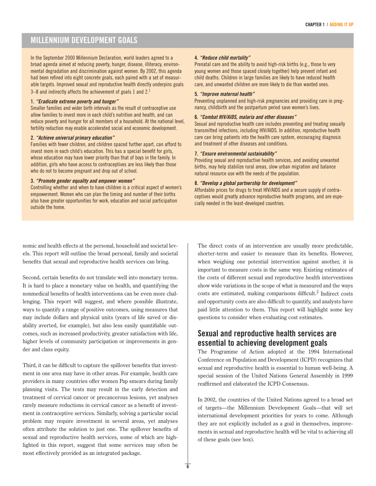### **MILLENNIUM DEVELOPMENT GOALS**

In the September 2000 Millennium Declaration, world leaders agreed to a broad agenda aimed at reducing poverty, hunger, disease, illiteracy, environmental degradation and discrimination against women. By 2002, this agenda had been refined into eight concrete goals, each paired with a set of measurable targets. Improved sexual and reproductive health directly underpins goals 3–8 and indirectly affects the achievement of goals 1 and 2.1

#### **1. "Eradicate extreme poverty and hunger"**

Smaller families and wider birth intervals as the result of contraceptive use allow families to invest more in each child's nutrition and health, and can reduce poverty and hunger for all members of a household. At the national level, fertility reduction may enable accelerated social and economic development.

#### **2. "Achieve universal primary education"**

Families with fewer children, and children spaced further apart, can afford to invest more in each child's education. This has a special benefit for girls, whose education may have lower priority than that of boys in the family. In addition, girls who have access to contraceptives are less likely than those who do not to become pregnant and drop out of school.

#### **3. "Promote gender equality and empower women"**

Controlling whether and when to have children is a critical aspect of women's empowerment. Women who can plan the timing and number of their births also have greater opportunities for work, education and social participation outside the home.

#### **4. "Reduce child mortality"**

Prenatal care and the ability to avoid high-risk births (e.g., those to very young women and those spaced closely together) help prevent infant and child deaths. Children in large families are likely to have reduced health care, and unwanted children are more likely to die than wanted ones.

#### **5. "Improve maternal health"**

Preventing unplanned and high-risk pregnancies and providing care in pregnancy, childbirth and the postpartum period save women's lives.

#### **6. "Combat HIV/AIDS, malaria and other diseases"**

Sexual and reproductive health care includes preventing and treating sexually transmitted infections, including HIV/AIDS. In addition, reproductive health care can bring patients into the health care system, encouraging diagnosis and treatment of other diseases and conditions.

#### **7. "Ensure environmental sustainability"**

Providing sexual and reproductive health services, and avoiding unwanted births, may help stabilize rural areas, slow urban migration and balance natural resource use with the needs of the population.

#### **8. "Develop a global partnership for development"**

Affordable prices for drugs to treat HIV/AIDS and a secure supply of contraceptives would greatly advance reproductive health programs, and are especially needed in the least-developed countries.

nomic and health effects at the personal, household and societal levels. This report will outline the broad personal, family and societal benefits that sexual and reproductive health services can bring.

Second, certain benefits do not translate well into monetary terms. It is hard to place a monetary value on health, and quantifying the nonmedical benefits of health interventions can be even more challenging. This report will suggest, and where possible illustrate, ways to quantify a range of positive outcomes, using measures that may include dollars and physical units (years of life saved or disability averted, for example), but also less easily quantifiable outcomes, such as increased productivity, greater satisfaction with life, higher levels of community participation or improvements in gender and class equity.

Third, it can be difficult to capture the spillover benefits that investment in one area may have in other areas. For example, health care providers in many countries offer women Pap smears during family planning visits. The tests may result in the early detection and treatment of cervical cancer or precancerous lesions, yet analyses rarely measure reductions in cervical cancer as a benefit of investment in contraceptive services. Similarly, solving a particular social problem may require investment in several areas, yet analyses often attribute the solution to just one. The spillover benefits of sexual and reproductive health services, some of which are highlighted in this report, suggest that some services may often be most effectively provided as an integrated package.

The direct costs of an intervention are usually more predictable, shorter-term and easier to measure than its benefits. However, when weighing one potential intervention against another, it is important to measure costs in the same way. Existing estimates of the costs of different sexual and reproductive health interventions show wide variations in the scope of what is measured and the ways costs are estimated, making comparisons difficult.<sup>2</sup> Indirect costs and opportunity costs are also difficult to quantify, and analysts have paid little attention to them. This report will highlight some key questions to consider when evaluating cost estimates.

#### **Sexual and reproductive health services are essential to achieving development goals**

The Programme of Action adopted at the 1994 International Conference on Population and Development (ICPD) recognizes that sexual and reproductive health is essential to human well-being. A special session of the United Nations General Assembly in 1999 reaffirmed and elaborated the ICPD Consensus.

In 2002, the countries of the United Nations agreed to a broad set of targets—the Millennium Development Goals—that will set international development priorities for years to come. Although they are not explicitly included as a goal in themselves, improvements in sexual and reproductive health will be vital to achieving all of these goals (see box).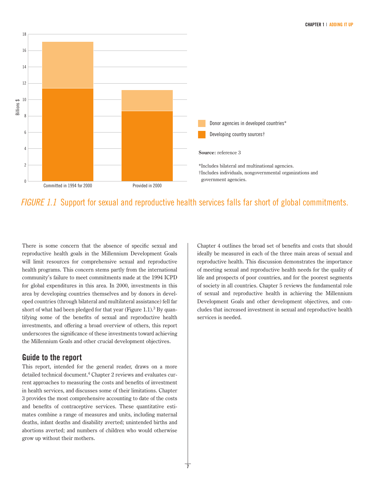

# FIGURE 1.1 Support for sexual and reproductive health services falls far short of global commitments.

There is some concern that the absence of specific sexual and reproductive health goals in the Millennium Development Goals will limit resources for comprehensive sexual and reproductive health programs. This concern stems partly from the international community's failure to meet commitments made at the 1994 ICPD for global expenditures in this area. In 2000, investments in this area by developing countries themselves and by donors in developed countries (through bilateral and multilateral assistance) fell far short of what had been pledged for that year (Figure 1.1).<sup>3</sup> By quantifying some of the benefits of sexual and reproductive health investments, and offering a broad overview of others, this report underscores the significance of these investments toward achieving the Millennium Goals and other crucial development objectives.

#### **Guide to the report**

This report, intended for the general reader, draws on a more detailed technical document.<sup>4</sup> Chapter 2 reviews and evaluates current approaches to measuring the costs and benefits of investment in health services, and discusses some of their limitations. Chapter 3 provides the most comprehensive accounting to date of the costs and benefits of contraceptive services. These quantitative estimates combine a range of measures and units, including maternal deaths, infant deaths and disability averted; unintended births and abortions averted; and numbers of children who would otherwise grow up without their mothers.

Chapter 4 outlines the broad set of benefits and costs that should ideally be measured in each of the three main areas of sexual and reproductive health. This discussion demonstrates the importance of meeting sexual and reproductive health needs for the quality of life and prospects of poor countries, and for the poorest segments of society in all countries. Chapter 5 reviews the fundamental role of sexual and reproductive health in achieving the Millennium Development Goals and other development objectives, and concludes that increased investment in sexual and reproductive health services is needed.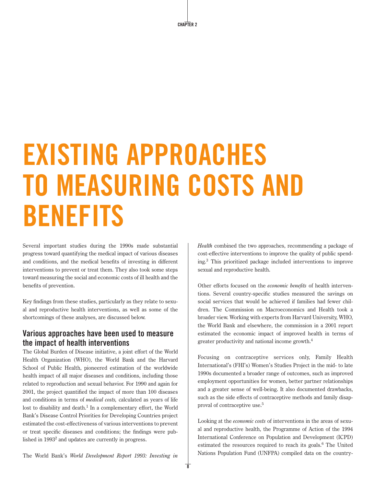# **EXISTING APPROACHES TO MEASURING COSTS AND BENEFITS**

Several important studies during the 1990s made substantial progress toward quantifying the medical impact of various diseases and conditions, and the medical benefits of investing in different interventions to prevent or treat them. They also took some steps toward measuring the social and economic costs of ill health and the benefits of prevention.

Key findings from these studies, particularly as they relate to sexual and reproductive health interventions, as well as some of the shortcomings of these analyses, are discussed below.

#### **Various approaches have been used to measure the impact of health interventions**

The Global Burden of Disease initiative, a joint effort of the World Health Organization (WHO), the World Bank and the Harvard School of Public Health, pioneered estimation of the worldwide health impact of all major diseases and conditions, including those related to reproduction and sexual behavior. For 1990 and again for 2001, the project quantified the impact of more than 100 diseases and conditions in terms of *medical costs,* calculated as years of life lost to disability and death. $<sup>1</sup>$  In a complementary effort, the World</sup> Bank's Disease Control Priorities for Developing Countries project estimated the cost-effectiveness of various interventions to prevent or treat specific diseases and conditions; the findings were published in  $1993<sup>2</sup>$  and updates are currently in progress.

*Health* combined the two approaches, recommending a package of cost-effective interventions to improve the quality of public spending.3 This prioritized package included interventions to improve sexual and reproductive health.

Other efforts focused on the *economic benefits* of health interventions. Several country-specific studies measured the savings on social services that would be achieved if families had fewer children. The Commission on Macroeconomics and Health took a broader view. Working with experts from Harvard University, WHO, the World Bank and elsewhere, the commission in a 2001 report estimated the economic impact of improved health in terms of greater productivity and national income growth.<sup>4</sup>

Focusing on contraceptive services only, Family Health International's (FHI's) Women's Studies Project in the mid- to late 1990s documented a broader range of outcomes, such as improved employment opportunities for women, better partner relationships and a greater sense of well-being. It also documented drawbacks, such as the side effects of contraceptive methods and family disapproval of contraceptive use.5

Looking at the *economic costs* of interventions in the areas of sexual and reproductive health, the Programme of Action of the 1994 International Conference on Population and Development (ICPD) estimated the resources required to reach its goals.<sup>6</sup> The United Nations Population Fund (UNFPA) compiled data on the country-

The World Bank's *World Development Report 1993: Investing in*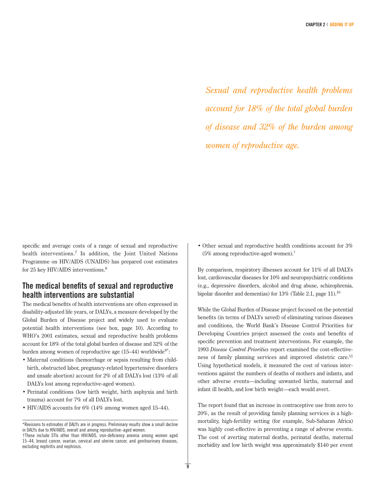*Sexual and reproductive health problems account for 18% of the total global burden of disease and 32% of the burden among women of reproductive age.*

specific and average costs of a range of sexual and reproductive health interventions.<sup>7</sup> In addition, the Joint United Nations Programme on HIV/AIDS (UNAIDS) has prepared cost estimates for 25 key HIV/AIDS interventions.<sup>8</sup>

### **The medical benefits of sexual and reproductive health interventions are substantial**

The medical benefits of health interventions are often expressed in disability-adjusted life years, or DALYs, a measure developed by the Global Burden of Disease project and widely used to evaluate potential health interventions (see box, page 10). According to WHO's 2001 estimates, sexual and reproductive health problems account for 18% of the total global burden of disease and 32% of the burden among women of reproductive age  $(15-44)$  worldwide<sup>9\*</sup>:

- Maternal conditions (hemorrhage or sepsis resulting from childbirth, obstructed labor, pregnancy-related hypertensive disorders and unsafe abortion) account for 2% of all DALYs lost (13% of all DALYs lost among reproductive-aged women).
- Perinatal conditions (low birth weight, birth asphyxia and birth trauma) account for 7% of all DALYs lost.
- HIV/AIDS accounts for 6% (14% among women aged 15–44).

• Other sexual and reproductive health conditions account for 3% (5% among reproductive-aged women).<sup>†</sup>

By comparison, respiratory illnesses account for 11% of all DALYs lost, cardiovascular diseases for 10% and neuropsychiatric conditions (e.g., depressive disorders, alcohol and drug abuse, schizophrenia, bipolar disorder and dementias) for  $13\%$  (Table 2.1, page 11).<sup>10</sup>

While the Global Burden of Disease project focused on the potential benefits (in terms of DALYs saved) of eliminating various diseases and conditions, the World Bank's Disease Control Priorities for Developing Countries project assessed the costs and benefits of specific prevention and treatment interventions. For example, the 1993 *Disease Control Priorities* report examined the cost-effectiveness of family planning services and improved obstetric care.<sup>11</sup> Using hypothetical models, it measured the cost of various interventions against the numbers of deaths of mothers and infants, and other adverse events—including unwanted births, maternal and infant ill health, and low birth weight—each would avert.

The report found that an increase in contraceptive use from zero to 20%, as the result of providing family planning services in a highmortality, high-fertility setting (for example, Sub-Saharan Africa) was highly cost-effective in preventing a range of adverse events. The cost of averting maternal deaths, perinatal deaths, maternal morbidity and low birth weight was approximately \$140 per event

<sup>\*</sup>Revisions to estimates of DALYs are in progress. Preliminary results show a small decline in DALYs due to HIV/AIDS, overall and among reproductive–aged women.

<sup>†</sup>These include STIs other than HIV/AIDS, iron-deficiency anemia among women aged 15–44, breast cancer, ovarian, cervical and uterine cancer, and genitourinary diseases, excluding nephritis and nephrosis.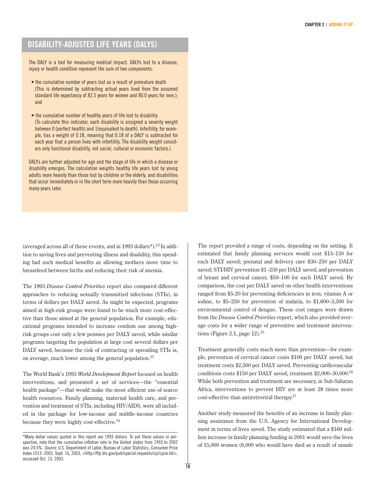# **DISABILITY-ADJUSTED LIFE YEARS (DALYS)**

The DALY is a tool for measuring medical impact. DALYs lost to a disease, injury or health condition represent the sum of two components:

- the cumulative number of years lost as a result of premature death (This is determined by subtracting actual years lived from the assumed standard life expectancy of 82.5 years for women and 80.0 years for men.); and
- the cumulative number of healthy years of life lost to disability (To calculate this indicator, each disability is assigned a severity weight between 0 (perfect health) and 1(equivalent to death). Infertility, for example, has a weight of 0.18, meaning that 0.18 of a DALY is subtracted for each year that a person lives with infertility. The disability weight considers only functional disability, not social, cultural or economic factors.)

DALYs are further adjusted for age and the stage of life in which a disease or disability emerges. The calculation weights healthy life years lost by young adults more heavily than those lost by children or the elderly, and disabilities that occur immediately or in the short term more heavily than those occurring many years later.

(averaged across all of these events, and in 1993 dollars\*).12 In addition to saving lives and preventing illness and disability, this spending had such medical benefits as allowing mothers more time to breastfeed between births and reducing their risk of anemia.

The 1993 *Disease Control Priorities* report also compared different approaches to reducing sexually transmitted infections (STIs), in terms of dollars per DALY saved. As might be expected, programs aimed at high-risk groups were found to be much more cost-effective than those aimed at the general population. For example, educational programs intended to increase condom use among highrisk groups cost only a few pennies per DALY saved, while similar programs targeting the population at large cost several dollars per DALY saved, because the risk of contracting or spreading STIs is, on average, much lower among the general population.<sup>13</sup>

The World Bank's 1993 *World Development Report* focused on health interventions, and presented a set of services—the "essential health package"—that would make the most efficient use of scarce health resources. Family planning, maternal health care, and prevention and treatment of STIs, including HIV/AIDS, were all included in the package for low-income and middle-income countries because they were highly cost-effective.14

The report provided a range of costs, depending on the setting. It estimated that family planning services would cost \$15–150 for each DALY saved; prenatal and delivery care \$30–250 per DALY saved; STI/HIV prevention \$1–250 per DALY saved; and prevention of breast and cervical cancer, \$50–100 for each DALY saved. By comparison, the cost per DALY saved on other health interventions ranged from \$5-20 for preventing deficiencies in iron, vitamin A or iodine, to \$5–250 for prevention of malaria, to \$1,600–3,500 for environmental control of dengue. These cost ranges were drawn from the *Disease Control Priorities* report, which also provided average costs for a wider range of preventive and treatment interventions (Figure 2.1, page  $12$ ).<sup>15</sup>

Treatment generally costs much more than prevention—for example, prevention of cervical cancer costs \$100 per DALY saved, but treatment costs \$2,500 per DALY saved. Preventing cardiovascular conditions costs \$150 per DALY saved, treatment \$2,000–30,000.16 While both prevention and treatment are necessary, in Sub-Saharan Africa, interventions to prevent HIV are at least 28 times more cost-effective than antiretroviral therapy.17

Another study measured the benefits of an increase in family planning assistance from the U.S. Agency for International Development in terms of lives saved. The study estimated that a \$169 million increase in family planning funding in 2001 would save the lives of 15,000 women (8,000 who would have died as a result of unsafe

<sup>\*</sup>Many dollar values quoted in this report are 1993 dollars. To put these values in perspective, note that the cumulative inflation rate in the United states from 1993 to 2002 was 24.5%. Source: U.S. Department of Labor, Bureau of Labor Statistics, Consumer Price Index 1913–2003, Sept. 16, 2003, <http://ftp.bls.gov/pub/special.requests/cpi/cpiai.txt>, accessed Oct. 13, 2003.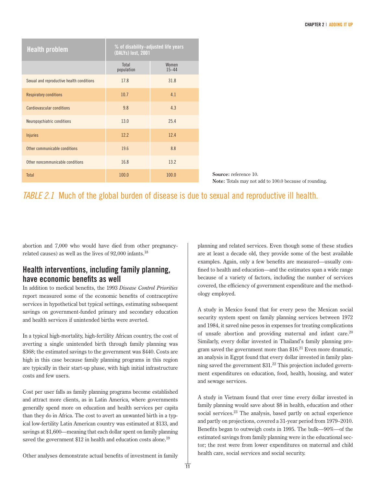| <b>Health problem</b>                     | % of disability-adjusted life years<br>(DALYs) lost, 2001 |                    |
|-------------------------------------------|-----------------------------------------------------------|--------------------|
|                                           | Total<br>population                                       | Women<br>$15 - 44$ |
| Sexual and reproductive health conditions | 17.8                                                      | 31.8               |
| <b>Respiratory conditions</b>             | 10.7                                                      | 4.1                |
| Cardiovascular conditions                 | 9.8                                                       | 4.3                |
| Neuropsychiatric conditions               | 13.0                                                      | 25.4               |
| <b>Injuries</b>                           | 12.2                                                      | 12.4               |
| Other communicable conditions             | 19.6                                                      | 8.8                |
| Other noncommunicable conditions          | 16.8                                                      | 13.2               |
| Total                                     | 100.0                                                     | 100.0              |

**Source:** reference 10. **Note:** Totals may not add to 100.0 because of rounding.

# TABLE 2.1 Much of the global burden of disease is due to sexual and reproductive ill health.

abortion and 7,000 who would have died from other pregnancyrelated causes) as well as the lives of 92,000 infants.18

### **Health interventions, including family planning, have economic benefits as well**

In addition to medical benefits, the 1993 *Disease Control Priorities* report measured some of the economic benefits of contraceptive services in hypothetical but typical settings, estimating subsequent savings on government-funded primary and secondary education and health services if unintended births were averted.

In a typical high-mortality, high-fertility African country, the cost of averting a single unintended birth through family planning was \$368; the estimated savings to the government was \$440. Costs are high in this case because family planning programs in this region are typically in their start-up phase, with high initial infrastructure costs and few users.

Cost per user falls as family planning programs become established and attract more clients, as in Latin America, where governments generally spend more on education and health services per capita than they do in Africa. The cost to avert an unwanted birth in a typical low-fertility Latin American country was estimated at \$133, and savings at \$1,600—meaning that each dollar spent on family planning saved the government \$12 in health and education costs alone.<sup>19</sup>

planning and related services. Even though some of these studies are at least a decade old, they provide some of the best available examples. Again, only a few benefits are measured—usually confined to health and education—and the estimates span a wide range because of a variety of factors, including the number of services covered, the efficiency of government expenditure and the methodology employed.

A study in Mexico found that for every peso the Mexican social security system spent on family planning services between 1972 and 1984, it saved nine pesos in expenses for treating complications of unsafe abortion and providing maternal and infant care. $20$ Similarly, every dollar invested in Thailand's family planning program saved the government more than  $$16<sup>21</sup>$  Even more dramatic, an analysis in Egypt found that every dollar invested in family planning saved the government  $$31<sup>22</sup>$  This projection included government expenditures on education, food, health, housing, and water and sewage services.

A study in Vietnam found that over time every dollar invested in family planning would save about \$8 in health, education and other social services. $23$  The analysis, based partly on actual experience and partly on projections, covered a 31-year period from 1979–2010. Benefits began to outweigh costs in 1995. The bulk—90%—of the estimated savings from family planning were in the educational sector; the rest were from lower expenditures on maternal and child health care, social services and social security.

Other analyses demonstrate actual benefits of investment in family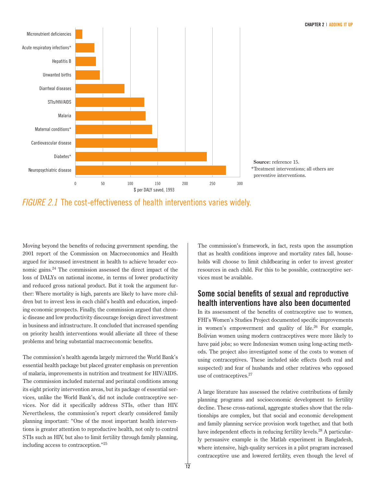

# FIGURE 2.1 The cost-effectiveness of health interventions varies widely.

Moving beyond the benefits of reducing government spending, the 2001 report of the Commission on Macroeconomics and Health argued for increased investment in health to achieve broader economic gains.24 The commission assessed the direct impact of the loss of DALYs on national income, in terms of lower productivity and reduced gross national product. But it took the argument further: Where mortality is high, parents are likely to have more children but to invest less in each child's health and education, impeding economic prospects. Finally, the commission argued that chronic disease and low productivity discourage foreign direct investment in business and infrastructure. It concluded that increased spending on priority health interventions would alleviate all three of these problems and bring substantial macroeconomic benefits.

The commission's health agenda largely mirrored the World Bank's essential health package but placed greater emphasis on prevention of malaria, improvements in nutrition and treatment for HIV/AIDS. The commission included maternal and perinatal conditions among its eight priority intervention areas, but its package of essential services, unlike the World Bank's, did not include contraceptive services. Nor did it specifically address STIs, other than HIV. Nevertheless, the commission's report clearly considered family planning important: "One of the most important health interventions is greater attention to reproductive health, not only to control STIs such as HIV, but also to limit fertility through family planning, including access to contraception."25

The commission's framework, in fact, rests upon the assumption that as health conditions improve and mortality rates fall, households will choose to limit childbearing in order to invest greater resources in each child. For this to be possible, contraceptive services must be available.

# **Some social benefits of sexual and reproductive health interventions have also been documented**

In its assessment of the benefits of contraceptive use to women, FHI's Women's Studies Project documented specific improvements in women's empowerment and quality of life.<sup>26</sup> For example, Bolivian women using modern contraceptives were more likely to have paid jobs; so were Indonesian women using long-acting methods. The project also investigated some of the costs to women of using contraceptives. These included side effects (both real and suspected) and fear of husbands and other relatives who opposed use of contraceptives.<sup>27</sup>

A large literature has assessed the relative contributions of family planning programs and socioeconomic development to fertility decline. These cross-national, aggregate studies show that the relationships are complex, but that social and economic development and family planning service provision work together, and that both have independent effects in reducing fertility levels.<sup>28</sup> A particularly persuasive example is the Matlab experiment in Bangladesh, where intensive, high-quality services in a pilot program increased contraceptive use and lowered fertility, even though the level of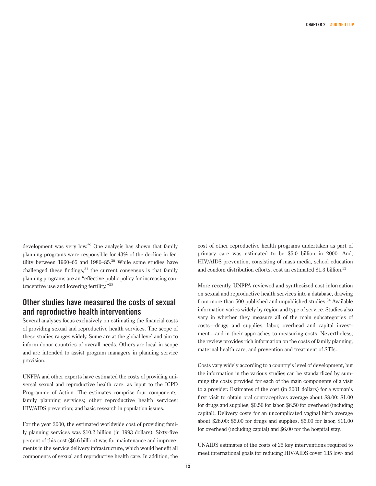development was very low.29 One analysis has shown that family planning programs were responsible for 43% of the decline in fertility between 1960–65 and 1980–85. $30$  While some studies have challenged these findings, $31$  the current consensus is that family planning programs are an "effective public policy for increasing contraceptive use and lowering fertility."<sup>32</sup>

#### **Other studies have measured the costs of sexual and reproductive health interventions**

Several analyses focus exclusively on estimating the financial costs of providing sexual and reproductive health services. The scope of these studies ranges widely. Some are at the global level and aim to inform donor countries of overall needs. Others are local in scope and are intended to assist program managers in planning service provision.

UNFPA and other experts have estimated the costs of providing universal sexual and reproductive health care, as input to the ICPD Programme of Action. The estimates comprise four components: family planning services; other reproductive health services; HIV/AIDS prevention; and basic research in population issues.

For the year 2000, the estimated worldwide cost of providing family planning services was \$10.2 billion (in 1993 dollars). Sixty-five percent of this cost (\$6.6 billion) was for maintenance and improvements in the service delivery infrastructure, which would benefit all components of sexual and reproductive health care. In addition, the cost of other reproductive health programs undertaken as part of primary care was estimated to be \$5.0 billion in 2000. And, HIV/AIDS prevention, consisting of mass media, school education and condom distribution efforts, cost an estimated \$1.3 billion.<sup>33</sup>

More recently, UNFPA reviewed and synthesized cost information on sexual and reproductive health services into a database, drawing from more than 500 published and unpublished studies.<sup>34</sup> Available information varies widely by region and type of service. Studies also vary in whether they measure all of the main subcategories of costs—drugs and supplies, labor, overhead and capital investment—and in their approaches to measuring costs. Nevertheless, the review provides rich information on the costs of family planning, maternal health care, and prevention and treatment of STIs.

Costs vary widely according to a country's level of development, but the information in the various studies can be standardized by summing the costs provided for each of the main components of a visit to a provider. Estimates of the cost (in 2001 dollars) for a woman's first visit to obtain oral contraceptives average about \$8.00: \$1.00 for drugs and supplies, \$0.50 for labor, \$6.50 for overhead (including capital). Delivery costs for an uncomplicated vaginal birth average about \$28.00: \$5.00 for drugs and supplies, \$6.00 for labor, \$11.00 for overhead (including capital) and \$6.00 for the hospital stay.

UNAIDS estimates of the costs of 25 key interventions required to meet international goals for reducing HIV/AIDS cover 135 low- and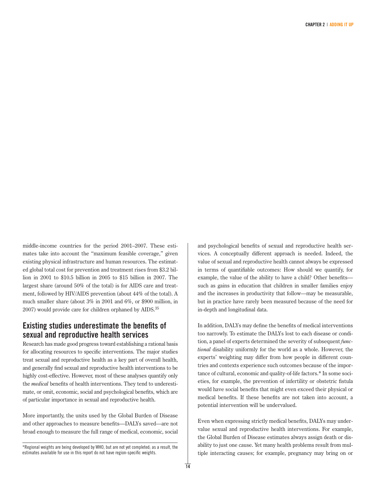middle-income countries for the period 2001–2007. These estimates take into account the "maximum feasible coverage," given existing physical infrastructure and human resources. The estimated global total cost for prevention and treatment rises from \$3.2 billion in 2001 to \$10.5 billion in 2005 to \$15 billion in 2007. The largest share (around 50% of the total) is for AIDS care and treatment, followed by HIV/AIDS prevention (about 44% of the total). A much smaller share (about 3% in 2001 and 6%, or \$900 million, in 2007) would provide care for children orphaned by AIDS.35

### **Existing studies underestimate the benefits of sexual and reproductive health services**

Research has made good progress toward establishing a rational basis for allocating resources to specific interventions. The major studies treat sexual and reproductive health as a key part of overall health, and generally find sexual and reproductive health interventions to be highly cost-effective. However, most of these analyses quantify only the *medical* benefits of health interventions. They tend to underestimate, or omit, economic, social and psychological benefits, which are of particular importance in sexual and reproductive health.

More importantly, the units used by the Global Burden of Disease and other approaches to measure benefits—DALYs saved—are not broad enough to measure the full range of medical, economic, social and psychological benefits of sexual and reproductive health services. A conceptually different approach is needed. Indeed, the value of sexual and reproductive health cannot always be expressed in terms of quantifiable outcomes: How should we quantify, for example, the value of the ability to have a child? Other benefits such as gains in education that children in smaller families enjoy and the increases in productivity that follow—may be measurable, but in practice have rarely been measured because of the need for in-depth and longitudinal data.

In addition, DALYs may define the benefits of medical interventions too narrowly. To estimate the DALYs lost to each disease or condition, a panel of experts determined the severity of subsequent *functional* disability uniformly for the world as a whole. However, the experts' weighting may differ from how people in different countries and contexts experience such outcomes because of the importance of cultural, economic and quality-of-life factors.\* In some societies, for example, the prevention of infertility or obstetric fistula would have social benefits that might even exceed their physical or medical benefits. If these benefits are not taken into account, a potential intervention will be undervalued.

Even when expressing strictly medical benefits, DALYs may undervalue sexual and reproductive health interventions. For example, the Global Burden of Disease estimates always assign death or disability to just one cause. Yet many health problems result from multiple interacting causes; for example, pregnancy may bring on or

<sup>\*</sup>Regional weights are being developed by WHO, but are not yet completed; as a result, the estimates available for use in this report do not have region-specific weights.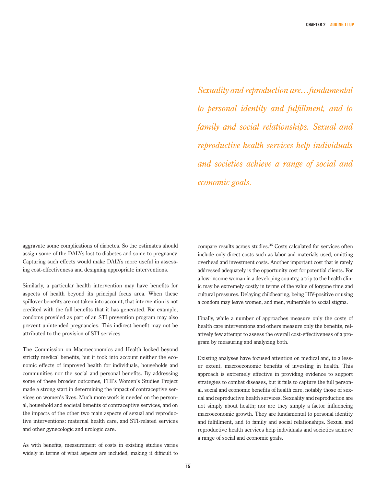*Sexuality and reproduction are…fundamental to personal identity and fulfillment, and to family and social relationships. Sexual and reproductive health services help individuals and societies achieve a range of social and economic goals*.

aggravate some complications of diabetes. So the estimates should assign some of the DALYs lost to diabetes and some to pregnancy. Capturing such effects would make DALYs more useful in assessing cost-effectiveness and designing appropriate interventions.

Similarly, a particular health intervention may have benefits for aspects of health beyond its principal focus area. When these spillover benefits are not taken into account, that intervention is not credited with the full benefits that it has generated. For example, condoms provided as part of an STI prevention program may also prevent unintended pregnancies. This indirect benefit may not be attributed to the provision of STI services.

The Commission on Macroeconomics and Health looked beyond strictly medical benefits, but it took into account neither the economic effects of improved health for individuals, households and communities nor the social and personal benefits. By addressing some of these broader outcomes, FHI's Women's Studies Project made a strong start in determining the impact of contraceptive services on women's lives. Much more work is needed on the personal, household and societal benefits of contraceptive services, and on the impacts of the other two main aspects of sexual and reproductive interventions: maternal health care, and STI-related services and other gynecologic and urologic care.

As with benefits, measurement of costs in existing studies varies widely in terms of what aspects are included, making it difficult to compare results across studies.36 Costs calculated for services often include only direct costs such as labor and materials used, omitting overhead and investment costs. Another important cost that is rarely addressed adequately is the opportunity cost for potential clients. For a low-income woman in a developing country, a trip to the health clinic may be extremely costly in terms of the value of forgone time and cultural pressures. Delaying childbearing, being HIV-positive or using a condom may leave women, and men, vulnerable to social stigma.

Finally, while a number of approaches measure only the costs of health care interventions and others measure only the benefits, relatively few attempt to assess the overall cost-effectiveness of a program by measuring and analyzing both.

Existing analyses have focused attention on medical and, to a lesser extent, macroeconomic benefits of investing in health. This approach is extremely effective in providing evidence to support strategies to combat diseases, but it fails to capture the full personal, social and economic benefits of health care, notably those of sexual and reproductive health services. Sexuality and reproduction are not simply about health; nor are they simply a factor influencing macroeconomic growth. They are fundamental to personal identity and fulfillment, and to family and social relationships. Sexual and reproductive health services help individuals and societies achieve a range of social and economic goals.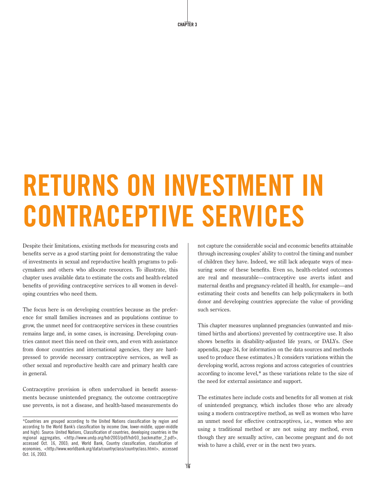# **RETURNS ON INVESTMENT IN CONTRACEPTIVE SERVICES**

Despite their limitations, existing methods for measuring costs and benefits serve as a good starting point for demonstrating the value of investments in sexual and reproductive health programs to policymakers and others who allocate resources. To illustrate, this chapter uses available data to estimate the costs and health-related benefits of providing contraceptive services to all women in developing countries who need them.

The focus here is on developing countries because as the preference for small families increases and as populations continue to grow, the unmet need for contraceptive services in these countries remains large and, in some cases, is increasing. Developing countries cannot meet this need on their own, and even with assistance from donor countries and international agencies, they are hardpressed to provide necessary contraceptive services, as well as other sexual and reproductive health care and primary health care in general.

Contraceptive provision is often undervalued in benefit assessments because unintended pregnancy, the outcome contraceptive use prevents, is not a disease, and health-based measurements do

not capture the considerable social and economic benefits attainable through increasing couples' ability to control the timing and number of children they have. Indeed, we still lack adequate ways of measuring some of these benefits. Even so, health-related outcomes are real and measurable—contraceptive use averts infant and maternal deaths and pregnancy-related ill health, for example—and estimating their costs and benefits can help policymakers in both donor and developing countries appreciate the value of providing such services.

This chapter measures unplanned pregnancies (unwanted and mistimed births and abortions) prevented by contraceptive use. It also shows benefits in disability-adjusted life years, or DALYs. (See appendix, page 34, for information on the data sources and methods used to produce these estimates.) It considers variations within the developing world, across regions and across categories of countries according to income level,\* as these variations relate to the size of the need for external assistance and support.

The estimates here include costs and benefits for all women at risk of unintended pregnancy, which includes those who are already using a modern contraceptive method, as well as women who have an unmet need for effective contraceptives, i.e., women who are using a traditional method or are not using any method, even though they are sexually active, can become pregnant and do not wish to have a child, ever or in the next two years.

<sup>\*</sup>Countries are grouped according to the United Nations classification by region and according to the World Bank's classification by income (low, lower-middle, upper-middle and high). Source: United Nations, Classification of countries, developing countries in the regional aggregates, <http://www.undp.org/hdr2003/pdf/hdr03\_backmatter\_2.pdf>, accessed Oct. 16, 2003; and, World Bank, Country classification, classification of economies, <http://www.worldbank.org/data/countryclass/countryclass.html>, accessed Oct. 16, 2003.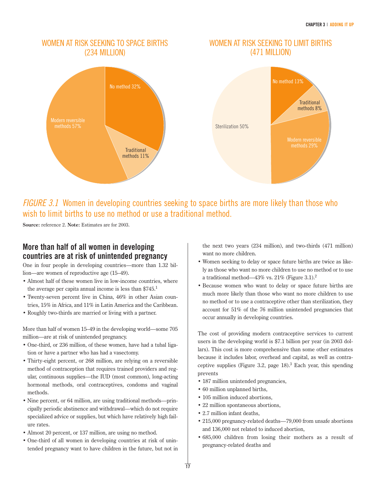## WOMEN AT RISK SEEKING TO SPACE BIRTHS (234 MILLION)



#### WOMEN AT RISK SEEKING TO LIMIT BIRTHS (471 MILLION)



# FIGURE 3.1 Women in developing countries seeking to space births are more likely than those who wish to limit births to use no method or use a traditional method.

**Source:** reference 2. **Note:** Estimates are for 2003.

# **More than half of all women in developing countries are at risk of unintended pregnancy**

One in four people in developing countries—more than 1.32 billion—are women of reproductive age (15–49).

- Almost half of these women live in low-income countries, where the average per capita annual income is less than \$745.1
- Twenty-seven percent live in China, 46% in other Asian countries, 15% in Africa, and 11% in Latin America and the Caribbean.
- Roughly two-thirds are married or living with a partner.

More than half of women 15–49 in the developing world—some 705 million—are at risk of unintended pregnancy.

- One-third, or 236 million, of these women, have had a tubal ligation or have a partner who has had a vasectomy.
- Thirty-eight percent, or 268 million, are relying on a reversible method of contraception that requires trained providers and regular, continuous supplies—the IUD (most common), long-acting hormonal methods, oral contraceptives, condoms and vaginal methods.
- Nine percent, or 64 million, are using traditional methods—principally periodic abstinence and withdrawal—which do not require specialized advice or supplies, but which have relatively high failure rates.
- Almost 20 percent, or 137 million, are using no method.
- One-third of all women in developing countries at risk of unintended pregnancy want to have children in the future, but not in

the next two years (234 million), and two-thirds (471 million) want no more children.

- Women seeking to delay or space future births are twice as likely as those who want no more children to use no method or to use a traditional method—43% vs.  $21\%$  (Figure 3.1).<sup>2</sup>
- Because women who want to delay or space future births are much more likely than those who want no more children to use no method or to use a contraceptive other than sterilization, they account for 51% of the 76 million unintended pregnancies that occur annually in developing countries.

The cost of providing modern contraceptive services to current users in the developing world is \$7.1 billion per year (in 2003 dollars). This cost is more comprehensive than some other estimates because it includes labor, overhead and capital, as well as contraceptive supplies (Figure 3.2, page  $18$ ).<sup>3</sup> Each year, this spending prevents

- 187 million unintended pregnancies,
- 60 million unplanned births,
- 105 million induced abortions.
- 22 million spontaneous abortions,
- 2.7 million infant deaths,
- 215,000 pregnancy-related deaths—79,000 from unsafe abortions and 136,000 not related to induced abortion,
- 685,000 children from losing their mothers as a result of pregnancy-related deaths and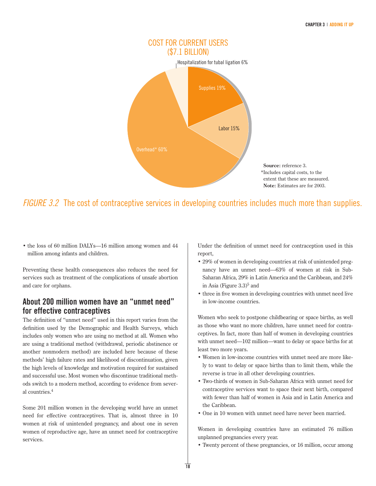

# FIGURE 3.2 The cost of contraceptive services in developing countries includes much more than supplies.

• the loss of 60 million DALYs—16 million among women and 44 million among infants and children.

Preventing these health consequences also reduces the need for services such as treatment of the complications of unsafe abortion and care for orphans.

### **About 200 million women have an "unmet need" for effective contraceptives**

The definition of "unmet need" used in this report varies from the definition used by the Demographic and Health Surveys, which includes only women who are using no method at all. Women who are using a traditional method (withdrawal, periodic abstinence or another nonmodern method) are included here because of these methods' high failure rates and likelihood of discontinuation, given the high levels of knowledge and motivation required for sustained and successful use. Most women who discontinue traditional methods switch to a modern method, according to evidence from several countries.<sup>4</sup>

Some 201 million women in the developing world have an unmet need for effective contraceptives. That is, almost three in 10 women at risk of unintended pregnancy, and about one in seven women of reproductive age, have an unmet need for contraceptive services.

Under the definition of unmet need for contraception used in this report,

- 29% of women in developing countries at risk of unintended pregnancy have an unmet need—63% of women at risk in Sub-Saharan Africa, 29% in Latin America and the Caribbean, and 24% in Asia (Figure  $3.3$ )<sup>5</sup> and
- three in five women in developing countries with unmet need live in low-income countries.

Women who seek to postpone childbearing or space births, as well as those who want no more children, have unmet need for contraceptives. In fact, more than half of women in developing countries with unmet need—102 million—want to delay or space births for at least two more years.

- Women in low-income countries with unmet need are more likely to want to delay or space births than to limit them, while the reverse is true in all other developing countries.
- Two-thirds of women in Sub-Saharan Africa with unmet need for contraceptive services want to space their next birth, compared with fewer than half of women in Asia and in Latin America and the Caribbean.
- One in 10 women with unmet need have never been married.

Women in developing countries have an estimated 76 million unplanned pregnancies every year.

• Twenty percent of these pregnancies, or 16 million, occur among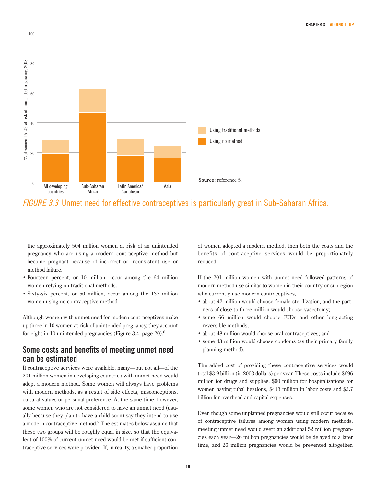

FIGURE 3.3 Unmet need for effective contraceptives is particularly great in Sub-Saharan Africa.

the approximately 504 million women at risk of an unintended pregnancy who are using a modern contraceptive method but become pregnant because of incorrect or inconsistent use or method failure.

100

- Fourteen percent, or 10 million, occur among the 64 million women relying on traditional methods.
- Sixty-six percent, or 50 million, occur among the 137 million women using no contraceptive method.

Although women with unmet need for modern contraceptives make up three in 10 women at risk of unintended pregnancy, they account for eight in 10 unintended pregnancies (Figure 3.4, page 20).<sup>6</sup>

# **Some costs and benefits of meeting unmet need can be estimated**

If contraceptive services were available, many—but not all—of the 201 million women in developing countries with unmet need would adopt a modern method. Some women will always have problems with modern methods, as a result of side effects, misconceptions, cultural values or personal preference. At the same time, however, some women who are not considered to have an unmet need (usually because they plan to have a child soon) say they intend to use a modern contraceptive method.<sup>7</sup> The estimates below assume that these two groups will be roughly equal in size, so that the equivalent of 100% of current unmet need would be met if sufficient contraceptive services were provided. If, in reality, a smaller proportion of women adopted a modern method, then both the costs and the benefits of contraceptive services would be proportionately reduced.

If the 201 million women with unmet need followed patterns of modern method use similar to women in their country or subregion who currently use modern contraceptives,

- about 42 million would choose female sterilization, and the partners of close to three million would choose vasectomy;
- some 66 million would choose IUDs and other long-acting reversible methods;
- about 48 million would choose oral contraceptives; and
- some 43 million would choose condoms (as their primary family planning method).

The added cost of providing these contraceptive services would total \$3.9 billion (in 2003 dollars) per year. These costs include \$696 million for drugs and supplies, \$90 million for hospitalizations for women having tubal ligations, \$413 million in labor costs and \$2.7 billion for overhead and capital expenses.

Even though some unplanned pregnancies would still occur because of contraceptive failures among women using modern methods, meeting unmet need would avert an additional 52 million pregnancies each year––26 million pregnancies would be delayed to a later time, and 26 million pregnancies would be prevented altogether.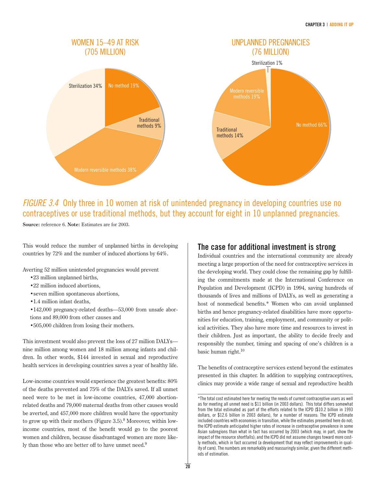

# FIGURE 3.4 Only three in 10 women at risk of unintended pregnancy in developing countries use no contraceptives or use traditional methods, but they account for eight in 10 unplanned pregnancies.

**Source:** reference 6. **Note:** Estimates are for 2003.

This would reduce the number of unplanned births in developing countries by 72% and the number of induced abortions by 64%.

Averting 52 million unintended pregnancies would prevent

- •23 million unplanned births,
- •22 million induced abortions,
- •seven million spontaneous abortions,
- •1.4 million infant deaths,
- •142,000 pregnancy-related deaths—53,000 from unsafe abortions and 89,000 from other causes and
- •505,000 children from losing their mothers.

This investment would also prevent the loss of 27 million DALYs nine million among women and 18 million among infants and children. In other words, \$144 invested in sexual and reproductive health services in developing countries saves a year of healthy life.

Low-income countries would experience the greatest benefits: 80% of the deaths prevented and 75% of the DALYs saved. If all unmet need were to be met in low-income countries, 47,000 abortionrelated deaths and 79,000 maternal deaths from other causes would be averted, and 457,000 more children would have the opportunity to grow up with their mothers (Figure 3.5).<sup>8</sup> Moreover, within lowincome countries, most of the benefit would go to the poorest women and children, because disadvantaged women are more likely than those who are better off to have unmet need.<sup>9</sup>

### **The case for additional investment is strong**

Individual countries and the international community are already meeting a large proportion of the need for contraceptive services in the developing world. They could close the remaining gap by fulfilling the commitments made at the International Conference on Population and Development (ICPD) in 1994, saving hundreds of thousands of lives and millions of DALYs, as well as generating a host of nonmedical benefits.\* Women who can avoid unplanned births and hence pregnancy-related disabilities have more opportunities for education, training, employment, and community or political activities. They also have more time and resources to invest in their children. Just as important, the ability to decide freely and responsibly the number, timing and spacing of one's children is a basic human right.<sup>10</sup>

The benefits of contraceptive services extend beyond the estimates presented in this chapter. In addition to supplying contraceptives, clinics may provide a wide range of sexual and reproductive health

<sup>\*</sup>The total cost estimated here for meeting the needs of current contraceptive users as well as for meeting all unmet need is \$11 billion (in 2003 dollars). This total differs somewhat from the total estimated as part of the efforts related to the ICPD (\$10.2 billion in 1993 dollars, or \$12.6 billion in 2003 dollars), for a number of reasons: The ICPD estimate included countries with economies in transition, while the estimates presented here do not; the ICPD estimate anticipated higher rates of increase in contraceptive prevalence in some Asian subregions than what in fact has occurred by 2003 (which may, in part, show the impact of the resource shortfalls); and the ICPD did not assume changes toward more costly methods, which in fact occurred (a development that may reflect improvements in quality of care). The numbers are remarkably and reassuringly similar, given the different methods of estimation.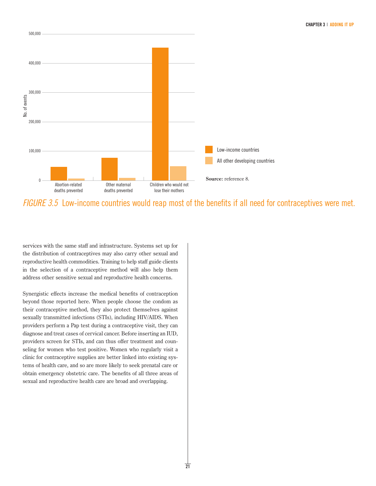

FIGURE 3.5 Low-income countries would reap most of the benefits if all need for contraceptives were met.

services with the same staff and infrastructure. Systems set up for the distribution of contraceptives may also carry other sexual and reproductive health commodities. Training to help staff guide clients in the selection of a contraceptive method will also help them address other sensitive sexual and reproductive health concerns.

Synergistic effects increase the medical benefits of contraception beyond those reported here. When people choose the condom as their contraceptive method, they also protect themselves against sexually transmitted infections (STIs), including HIV/AIDS. When providers perform a Pap test during a contraceptive visit, they can diagnose and treat cases of cervical cancer. Before inserting an IUD, providers screen for STIs, and can thus offer treatment and counseling for women who test positive. Women who regularly visit a clinic for contraceptive supplies are better linked into existing systems of health care, and so are more likely to seek prenatal care or obtain emergency obstetric care. The benefits of all three areas of sexual and reproductive health care are broad and overlapping.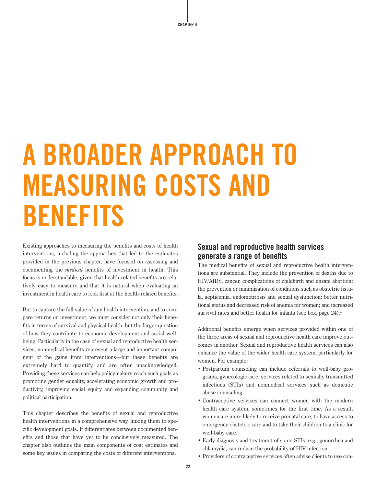# **A BROADER APPROACH TO MEASURING COSTS AND BENEFITS**

Existing approaches to measuring the benefits and costs of health interventions, including the approaches that led to the estimates provided in the previous chapter, have focused on assessing and documenting the *medical* benefits of investment in health. This focus is understandable, given that health-related benefits are relatively easy to measure and that it is natural when evaluating an investment in health care to look first at the health-related benefits.

But to capture the full value of any health intervention, and to compare returns on investment, we must consider not only their benefits in terms of survival and physical health, but the larger question of how they contribute to economic development and social wellbeing. Particularly in the case of sexual and reproductive health services, nonmedical benefits represent a large and important component of the gains from interventions—but these benefits are extremely hard to quantify, and are often unacknowledged. Providing these services can help policymakers reach such goals as promoting gender equality, accelerating economic growth and productivity, improving social equity and expanding community and political participation.

This chapter describes the benefits of sexual and reproductive health interventions in a comprehensive way, linking them to specific development goals. It differentiates between documented benefits and those that have yet to be conclusively measured. The chapter also outlines the main components of cost estimates and some key issues in comparing the costs of different interventions.

## **Sexual and reproductive health services generate a range of benefits**

The medical benefits of sexual and reproductive health interventions are substantial. They include the prevention of deaths due to HIV/AIDS, cancer, complications of childbirth and unsafe abortion; the prevention or minimization of conditions such as obstetric fistula, septicemia, endometriosis and sexual dysfunction; better nutritional status and decreased risk of anemia for women; and increased survival rates and better health for infants (see box, page  $24$ ).<sup>1</sup>

Additional benefits emerge when services provided within one of the three areas of sexual and reproductive health care improve outcomes in another. Sexual and reproductive health services can also enhance the value of the wider health care system, particularly for women. For example:

- Postpartum counseling can include referrals to well-baby programs, gynecologic care, services related to sexually transmitted infections (STIs) and nonmedical services such as domestic abuse counseling.
- Contraceptive services can connect women with the modern health care system, sometimes for the first time. As a result, women are more likely to receive prenatal care, to have access to emergency obstetric care and to take their children to a clinic for well-baby care.
- Early diagnosis and treatment of some STIs, e.g., gonorrhea and chlamydia, can reduce the probability of HIV infection.
- Providers of contraceptive services often advise clients to use con-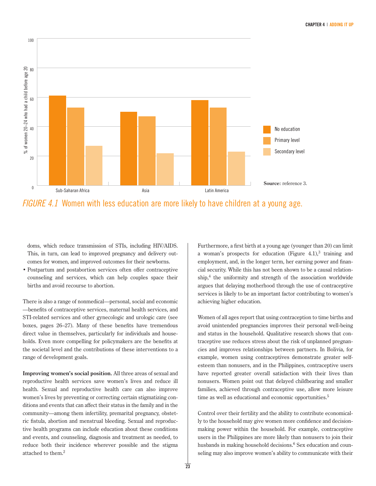

FIGURE 4.1 Women with less education are more likely to have children at a young age.

doms, which reduce transmission of STIs, including HIV/AIDS. This, in turn, can lead to improved pregnancy and delivery outcomes for women, and improved outcomes for their newborns.

• Postpartum and postabortion services often offer contraceptive counseling and services, which can help couples space their births and avoid recourse to abortion.

There is also a range of nonmedical—personal, social and economic —benefits of contraceptive services, maternal health services, and STI-related services and other gynecologic and urologic care (see boxes, pages 26–27). Many of these benefits have tremendous direct value in themselves, particularly for individuals and households. Even more compelling for policymakers are the benefits at the societal level and the contributions of these interventions to a range of development goals.

**Improving women's social position.** All three areas of sexual and reproductive health services save women's lives and reduce ill health. Sexual and reproductive health care can also improve women's lives by preventing or correcting certain stigmatizing conditions and events that can affect their status in the family and in the community—among them infertility, premarital pregnancy, obstetric fistula, abortion and menstrual bleeding. Sexual and reproductive health programs can include education about these conditions and events, and counseling, diagnosis and treatment as needed, to reduce both their incidence wherever possible and the stigma attached to them.<sup>2</sup>

Furthermore, a first birth at a young age (younger than 20) can limit a woman's prospects for education (Figure 4.1), $3$  training and employment, and, in the longer term, her earning power and financial security. While this has not been shown to be a causal relation- $\sin^4$  the uniformity and strength of the association worldwide argues that delaying motherhood through the use of contraceptive services is likely to be an important factor contributing to women's achieving higher education.

Women of all ages report that using contraception to time births and avoid unintended pregnancies improves their personal well-being and status in the household. Qualitative research shows that contraceptive use reduces stress about the risk of unplanned pregnancies and improves relationships between partners. In Bolivia, for example, women using contraceptives demonstrate greater selfesteem than nonusers, and in the Philippines, contraceptive users have reported greater overall satisfaction with their lives than nonusers. Women point out that delayed childbearing and smaller families, achieved through contraceptive use, allow more leisure time as well as educational and economic opportunities.<sup>5</sup>

Control over their fertility and the ability to contribute economically to the household may give women more confidence and decisionmaking power within the household. For example, contraceptive users in the Philippines are more likely than nonusers to join their husbands in making household decisions.<sup>6</sup> Sex education and counseling may also improve women's ability to communicate with their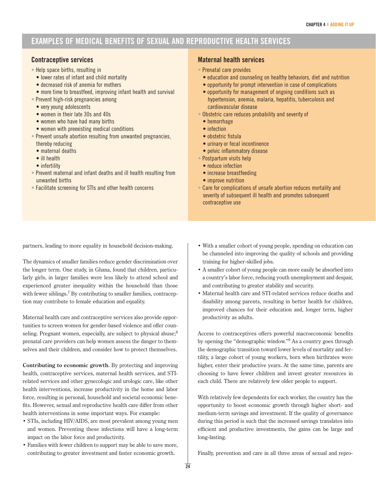# **EXAMPLES OF MEDICAL BENEFITS OF SEXUAL AND REPRODUCTIVE HEALTH SERVICES**

#### **Contraceptive services**

• Help space births, resulting in

- lower rates of infant and child mortality
- decreased risk of anemia for mothers
- more time to breastfeed, improving infant health and survival
- Prevent high-risk pregnancies among
	- very young adolescents
	- women in their late 30s and 40s
	- women who have had many births
	- women with preexisting medical conditions
- Prevent unsafe abortion resulting from unwanted pregnancies, thereby reducing
	- maternal deaths
	- ill health
	- infertility
- Prevent maternal and infant deaths and ill health resulting from unwanted births
- Facilitate screening for STIs and other health concerns

#### **Maternal health services**

- Prenatal care provides
	- education and counseling on healthy behaviors, diet and nutrition
	- opportunity for prompt intervention in case of complications
	- opportunity for management of ongoing conditions such as hypertension, anemia, malaria, hepatitis, tuberculosis and cardiovascular disease
- Obstetric care reduces probability and severity of
	- hemorrhage
	- infection
	- obstetric fistula
	- urinary or fecal incontinence
	- pelvic inflammatory disease
- Postpartum visits help
	- reduce infection
	- increase breastfeeding
	- improve nutrition
- Care for complications of unsafe abortion reduces mortality and severity of subsequent ill health and promotes subsequent contraceptive use

partners, leading to more equality in household decision-making.

The dynamics of smaller families reduce gender discrimination over the longer term. One study, in Ghana, found that children, particularly girls, in larger families were less likely to attend school and experienced greater inequality within the household than those with fewer siblings.<sup>7</sup> By contributing to smaller families, contraception may contribute to female education and equality.

Maternal health care and contraceptive services also provide opportunities to screen women for gender-based violence and offer counseling. Pregnant women, especially, are subject to physical abuse;<sup>8</sup> prenatal care providers can help women assess the danger to themselves and their children, and consider how to protect themselves.

**Contributing to economic growth.** By protecting and improving health, contraceptive services, maternal health services, and STIrelated services and other gynecologic and urologic care, like other health interventions, increase productivity in the home and labor force, resulting in personal, household and societal economic benefits. However, sexual and reproductive health care differ from other health interventions in some important ways. For example:

- STIs, including HIV/AIDS, are most prevalent among young men and women. Preventing these infections will have a long-term impact on the labor force and productivity.
- Families with fewer children to support may be able to save more, contributing to greater investment and faster economic growth.
- With a smaller cohort of young people, spending on education can be channeled into improving the quality of schools and providing training for higher-skilled jobs.
- A smaller cohort of young people can more easily be absorbed into a country's labor force, reducing youth unemployment and despair, and contributing to greater stability and security.
- Maternal health care and STI-related services reduce deaths and disability among parents, resulting in better health for children, improved chances for their education and, longer term, higher productivity as adults.

Access to contraceptives offers powerful macroeconomic benefits by opening the "demographic window."<sup>9</sup> As a country goes through the demographic transition toward lower levels of mortality and fertility, a large cohort of young workers, born when birthrates were higher, enter their productive years. At the same time, parents are choosing to have fewer children and invest greater resources in each child. There are relatively few older people to support.

With relatively few dependents for each worker, the country has the opportunity to boost economic growth through higher short- and medium-term savings and investment. If the quality of governance during this period is such that the increased savings translates into efficient and productive investments, the gains can be large and long-lasting.

Finally, prevention and care in all three areas of sexual and repro-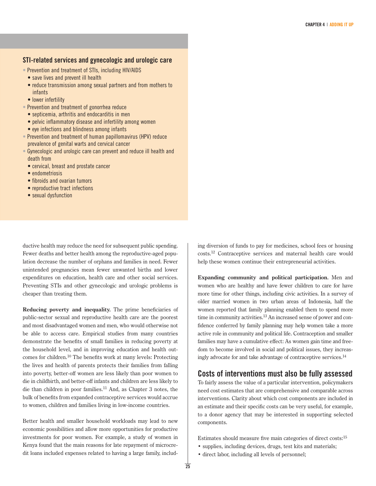#### **STI-related services and gynecologic and urologic care**

- Prevention and treatment of STIs, including HIV/AIDS
- save lives and prevent ill health
- reduce transmission among sexual partners and from mothers to infants
- lower infertility
- Prevention and treatment of gonorrhea reduce
	- septicemia, arthritis and endocarditis in men
	- pelvic inflammatory disease and infertility among women
	- eye infections and blindness among infants
- Prevention and treatment of human papillomavirus (HPV) reduce prevalence of genital warts and cervical cancer
- Gynecologic and urologic care can prevent and reduce ill health and death from
	- cervical, breast and prostate cancer
	- endometriosis
	- fibroids and ovarian tumors
	- reproductive tract infections
	- sexual dysfunction

ductive health may reduce the need for subsequent public spending. Fewer deaths and better health among the reproductive-aged population decrease the number of orphans and families in need. Fewer unintended pregnancies mean fewer unwanted births and lower expenditures on education, health care and other social services. Preventing STIs and other gynecologic and urologic problems is cheaper than treating them.

**Reducing poverty and inequality.** The prime beneficiaries of public-sector sexual and reproductive health care are the poorest and most disadvantaged women and men, who would otherwise not be able to access care. Empirical studies from many countries demonstrate the benefits of small families in reducing poverty at the household level, and in improving education and health outcomes for children.<sup>10</sup> The benefits work at many levels: Protecting the lives and health of parents protects their families from falling into poverty, better-off women are less likely than poor women to die in childbirth, and better-off infants and children are less likely to die than children in poor families.<sup>11</sup> And, as Chapter 3 notes, the bulk of benefits from expanded contraceptive services would accrue to women, children and families living in low-income countries.

Better health and smaller household workloads may lead to new economic possibilities and allow more opportunities for productive investments for poor women. For example, a study of women in Kenya found that the main reasons for late repayment of microcredit loans included expenses related to having a large family, including diversion of funds to pay for medicines, school fees or housing costs.12 Contraceptive services and maternal health care would help these women continue their entrepreneurial activities.

**Expanding community and political participation.** Men and women who are healthy and have fewer children to care for have more time for other things, including civic activities. In a survey of older married women in two urban areas of Indonesia, half the women reported that family planning enabled them to spend more time in community activities.<sup>13</sup> An increased sense of power and confidence conferred by family planning may help women take a more active role in community and political life. Contraception and smaller families may have a cumulative effect: As women gain time and freedom to become involved in social and political issues, they increasingly advocate for and take advantage of contraceptive services.14

#### **Costs of interventions must also be fully assessed**

To fairly assess the value of a particular intervention, policymakers need cost estimates that are comprehensive and comparable across interventions. Clarity about which cost components are included in an estimate and their specific costs can be very useful, for example, to a donor agency that may be interested in supporting selected components.

Estimates should measure five main categories of direct costs:<sup>15</sup>

- supplies, including devices, drugs, test kits and materials;
- direct labor, including all levels of personnel;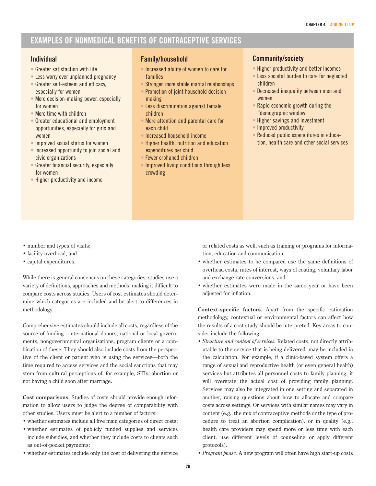# **EXAMPLES OF NONMEDICAL BENEFITS OF CONTRACEPTIVE SERVICES**

#### **Individual**

- Greater satisfaction with life
- Less worry over unplanned pregnancy
- Greater self-esteem and efficacy, especially for women
- More decision-making power, especially for women
- More time with children
- Greater educational and employment opportunities, especially for girls and women
- Improved social status for women
- Increased opportunity to join social and civic organizations
- Greater financial security, especially for women
- Higher productivity and income

#### **Family/household**

- Increased ability of women to care for families
- Stronger, more stable marital relationships
- Promotion of joint household decisionmaking
- Less discrimination against female children
- More attention and parental care for each child
- Increased household income
- Higher health, nutrition and education expenditures per child
- Fewer orphaned children
- Improved living conditions through less crowding

#### **Community/society**

- Higher productivity and better incomes
- Less societal burden to care for neglected children
- Decreased inequality between men and women
- Rapid economic growth during the "demographic window"
- Higher savings and investment
- Improved productivity
- Reduced public expenditures in education, health care and other social services

- number and types of visits;
- facility overhead; and
- capital expenditures.

While there is general consensus on these categories, studies use a variety of definitions, approaches and methods, making it difficult to compare costs across studies. Users of cost estimates should determine which categories are included and be alert to differences in methodology.

Comprehensive estimates should include all costs, regardless of the source of funding—international donors, national or local governments, nongovernmental organizations, program clients or a combination of these. They should also include costs from the perspective of the client or patient who is using the services—both the time required to access services and the social sanctions that may stem from cultural perceptions of, for example, STIs, abortion or not having a child soon after marriage.

**Cost comparisons.** Studies of costs should provide enough information to allow users to judge the degree of comparability with other studies. Users must be alert to a number of factors:

- whether estimates include all five main categories of direct costs;
- whether estimates of publicly funded supplies and services include subsidies, and whether they include costs to clients such as out-of-pocket payments;
- whether estimates include only the cost of delivering the service

or related costs as well, such as training or programs for information, education and communication;

- whether estimates to be compared use the same definitions of overhead costs, rates of interest, ways of costing, voluntary labor and exchange rate conversions; and
- whether estimates were made in the same year or have been adjusted for inflation.

**Context-specific factors.** Apart from the specific estimation methodology, contextual or environmental factors can affect how the results of a cost study should be interpreted. Key areas to consider include the following:

- *Structure and content of services.* Related costs, not directly attributable to the service that is being delivered, may be included in the calculation. For example, if a clinic-based system offers a range of sexual and reproductive health (or even general health) services but attributes all personnel costs to family planning, it will overstate the actual cost of providing family planning. Services may also be integrated in one setting and separated in another, raising questions about how to allocate and compare costs across settings. Or services with similar names may vary in content (e.g., the mix of contraceptive methods or the type of procedure to treat an abortion complication), or in quality (e.g., health care providers may spend more or less time with each client, use different levels of counseling or apply different protocols).
- *Program phase.* A new program will often have high start-up costs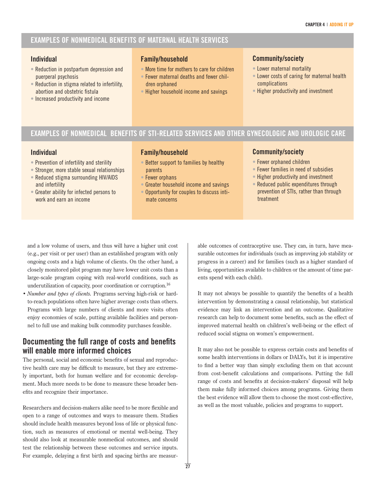### **EXAMPLES OF NONMEDICAL BENEFITS OF MATERNAL HEALTH SERVICES**

#### **Individual**

- Reduction in postpartum depression and puerperal psychosis
- Reduction in stigma related to infertility, abortion and obstetric fistula
- Increased productivity and income

#### **Family/household**

- More time for mothers to care for children
- Fewer maternal deaths and fewer children orphaned
- Higher household income and savings

#### **Community/society**

- Lower maternal mortality
- Lower costs of caring for maternal health complications
- Higher productivity and investment

## **EXAMPLES OF NONMEDICAL BENEFITS OF STI-RELATED SERVICES AND OTHER GYNECOLOGIC AND UROLOGIC CARE**

#### **Individual**

- Prevention of infertility and sterility
- Stronger, more stable sexual relationships • Reduced stigma surrounding HIV/AIDS
- and infertility
- Greater ability for infected persons to work and earn an income

#### **Family/household**

- Better support to families by healthy parents
- Fewer orphans
- Greater household income and savings
- Opportunity for couples to discuss intimate concerns

#### **Community/society**

- Fewer orphaned children
- Fewer families in need of subsidies
- Higher productivity and investment
- Reduced public expenditures through prevention of STIs, rather than through treatment

and a low volume of users, and thus will have a higher unit cost (e.g., per visit or per user) than an established program with only ongoing costs and a high volume of clients. On the other hand, a closely monitored pilot program may have lower unit costs than a large-scale program coping with real-world conditions, such as underutilization of capacity, poor coordination or corruption.<sup>16</sup>

*• Number and types of clients.* Programs serving high-risk or hardto-reach populations often have higher average costs than others. Programs with large numbers of clients and more visits often enjoy economies of scale, putting available facilities and personnel to full use and making bulk commodity purchases feasible.

### **Documenting the full range of costs and benefits will enable more informed choices**

The personal, social and economic benefits of sexual and reproductive health care may be difficult to measure, but they are extremely important, both for human welfare and for economic development. Much more needs to be done to measure these broader benefits and recognize their importance.

Researchers and decision-makers alike need to be more flexible and open to a range of outcomes and ways to measure them. Studies should include health measures beyond loss of life or physical function, such as measures of emotional or mental well-being. They should also look at measurable nonmedical outcomes, and should test the relationship between these outcomes and service inputs. For example, delaying a first birth and spacing births are measurable outcomes of contraceptive use. They can, in turn, have measurable outcomes for individuals (such as improving job stability or progress in a career) and for families (such as a higher standard of living, opportunities available to children or the amount of time parents spend with each child).

It may not always be possible to quantify the benefits of a health intervention by demonstrating a causal relationship, but statistical evidence may link an intervention and an outcome. Qualitative research can help to document some benefits, such as the effect of improved maternal health on children's well-being or the effect of reduced social stigma on women's empowerment.

It may also not be possible to express certain costs and benefits of some health interventions in dollars or DALYs, but it is imperative to find a better way than simply excluding them on that account from cost-benefit calculations and comparisons. Putting the full range of costs and benefits at decision-makers' disposal will help them make fully informed choices among programs. Giving them the best evidence will allow them to choose the most cost-effective, as well as the most valuable, policies and programs to support.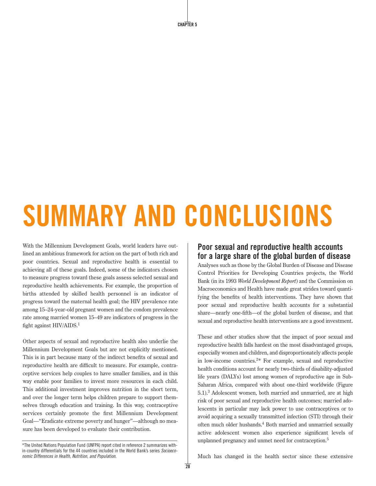**CHAPTER 5**

# **SUMMARY AND CONCLUSIONS**

With the Millennium Development Goals, world leaders have outlined an ambitious framework for action on the part of both rich and poor countries. Sexual and reproductive health is essential to achieving all of these goals. Indeed, some of the indicators chosen to measure progress toward these goals assess selected sexual and reproductive health achievements. For example, the proportion of births attended by skilled health personnel is an indicator of progress toward the maternal health goal; the HIV prevalence rate among 15–24-year-old pregnant women and the condom prevalence rate among married women 15–49 are indicators of progress in the fight against HIV/AIDS.<sup>1</sup>

Other aspects of sexual and reproductive health also underlie the Millennium Development Goals but are not explicitly mentioned. This is in part because many of the indirect benefits of sexual and reproductive health are difficult to measure. For example, contraceptive services help couples to have smaller families, and in this way enable poor families to invest more resources in each child. This additional investment improves nutrition in the short term, and over the longer term helps children prepare to support themselves through education and training. In this way, contraceptive services certainly promote the first Millennium Development Goal—"Eradicate extreme poverty and hunger"—although no measure has been developed to evaluate their contribution.

# **Poor sexual and reproductive health accounts for a large share of the global burden of disease**

Analyses such as those by the Global Burden of Disease and Disease Control Priorities for Developing Countries projects, the World Bank (in its 1993 *World Development Report*) and the Commission on Macroeconomics and Health have made great strides toward quantifying the benefits of health interventions. They have shown that poor sexual and reproductive health accounts for a substantial share—nearly one-fifth—of the global burden of disease, and that sexual and reproductive health interventions are a good investment.

These and other studies show that the impact of poor sexual and reproductive health falls hardest on the most disadvantaged groups, especially women and children, and disproportionately affects people in low-income countries.2 \* For example, sexual and reproductive health conditions account for nearly two-thirds of disability-adjusted life years (DALYs) lost among women of reproductive age in Sub-Saharan Africa, compared with about one-third worldwide (Figure 5.1).3 Adolescent women, both married and unmarried, are at high risk of poor sexual and reproductive health outcomes; married adolescents in particular may lack power to use contraceptives or to avoid acquiring a sexually transmitted infection (STI) through their often much older husbands.4 Both married and unmarried sexually active adolescent women also experience significant levels of unplanned pregnancy and unmet need for contraception.<sup>5</sup>

Much has changed in the health sector since these extensive

<sup>\*</sup>The United Nations Population Fund (UNFPA) report cited in reference 2 summarizes within-country differentials for the 44 countries included in the World Bank's series Socioeconomic Differences in Health, Nutrition, and Population.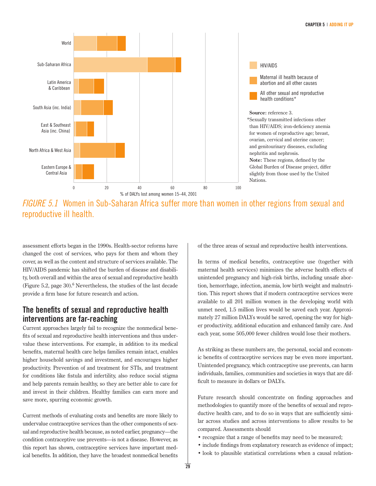

FIGURE 5.1 Women in Sub-Saharan Africa suffer more than women in other regions from sexual and reproductive ill health.

assessment efforts began in the 1990s. Health-sector reforms have changed the cost of services, who pays for them and whom they cover, as well as the content and structure of services available. The HIV/AIDS pandemic has shifted the burden of disease and disability, both overall and within the area of sexual and reproductive health (Figure 5.2, page 30).<sup>6</sup> Nevertheless, the studies of the last decade provide a firm base for future research and action.

### **The benefits of sexual and reproductive health interventions are far-reaching**

Current approaches largely fail to recognize the nonmedical benefits of sexual and reproductive health interventions and thus undervalue these interventions. For example, in addition to its medical benefits, maternal health care helps families remain intact, enables higher household savings and investment, and encourages higher productivity. Prevention of and treatment for STIs, and treatment for conditions like fistula and infertility, also reduce social stigma and help parents remain healthy, so they are better able to care for and invest in their children. Healthy families can earn more and save more, spurring economic growth.

Current methods of evaluating costs and benefits are more likely to undervalue contraceptive services than the other components of sexual and reproductive health because, as noted earlier, pregnancy—the condition contraceptive use prevents—is not a disease. However, as this report has shown, contraceptive services have important medical benefits. In addition, they have the broadest nonmedical benefits

of the three areas of sexual and reproductive health interventions.

In terms of medical benefits, contraceptive use (together with maternal health services) minimizes the adverse health effects of unintended pregnancy and high-risk births, including unsafe abortion, hemorrhage, infection, anemia, low birth weight and malnutrition. This report shows that if modern contraceptive services were available to all 201 million women in the developing world with unmet need, 1.5 million lives would be saved each year. Approximately 27 million DALYs would be saved, opening the way for higher productivity, additional education and enhanced family care. And each year, some 505,000 fewer children would lose their mothers.

As striking as these numbers are, the personal, social and economic benefits of contraceptive services may be even more important. Unintended pregnancy, which contraceptive use prevents, can harm individuals, families, communities and societies in ways that are difficult to measure in dollars or DALYs.

Future research should concentrate on finding approaches and methodologies to quantify more of the benefits of sexual and reproductive health care, and to do so in ways that are sufficiently similar across studies and across interventions to allow results to be compared. Assessments should

- recognize that a range of benefits may need to be measured;
- include findings from explanatory research as evidence of impact;
- look to plausible statistical correlations when a causal relation-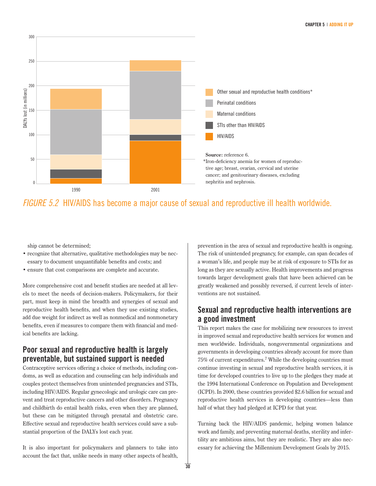

# FIGURE 5.2 HIV/AIDS has become a major cause of sexual and reproductive ill health worldwide.

ship cannot be determined;

- recognize that alternative, qualitative methodologies may be necessary to document unquantifiable benefits and costs; and
- ensure that cost comparisons are complete and accurate.

More comprehensive cost and benefit studies are needed at all levels to meet the needs of decision-makers. Policymakers, for their part, must keep in mind the breadth and synergies of sexual and reproductive health benefits, and when they use existing studies, add due weight for indirect as well as nonmedical and nonmonetary benefits, even if measures to compare them with financial and medical benefits are lacking.

# **Poor sexual and reproductive health is largely preventable, but sustained support is needed**

Contraceptive services offering a choice of methods, including condoms, as well as education and counseling can help individuals and couples protect themselves from unintended pregnancies and STIs, including HIV/AIDS. Regular gynecologic and urologic care can prevent and treat reproductive cancers and other disorders. Pregnancy and childbirth do entail health risks, even when they are planned, but these can be mitigated through prenatal and obstetric care. Effective sexual and reproductive health services could save a substantial proportion of the DALYs lost each year.

It is also important for policymakers and planners to take into account the fact that, unlike needs in many other aspects of health, prevention in the area of sexual and reproductive health is ongoing. The risk of unintended pregnancy, for example, can span decades of a woman's life, and people may be at risk of exposure to STIs for as long as they are sexually active. Health improvements and progress towards larger development goals that have been achieved can be greatly weakened and possibly reversed, if current levels of interventions are not sustained.

### **Sexual and reproductive health interventions are a good investment**

This report makes the case for mobilizing new resources to invest in improved sexual and reproductive health services for women and men worldwide. Individuals, nongovernmental organizations and governments in developing countries already account for more than 75% of current expenditures.7 While the developing countries must continue investing in sexual and reproductive health services, it is time for developed countries to live up to the pledges they made at the 1994 International Conference on Population and Development (ICPD). In 2000, these countries provided \$2.6 billion for sexual and reproductive health services in developing countries—less than half of what they had pledged at ICPD for that year.

Turning back the HIV/AIDS pandemic, helping women balance work and family, and preventing maternal deaths, sterility and infertility are ambitious aims, but they are realistic. They are also necessary for achieving the Millennium Development Goals by 2015.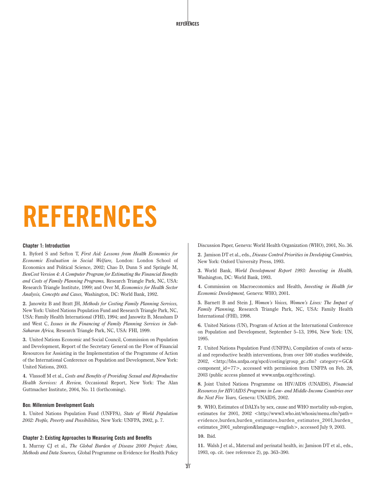**REFERENCES**

# **REFERENCES**

#### **Chapter 1: Introduction**

**1.** Byford S and Sefton T, *First Aid: Lessons from Health Economics for Economic Evaluation in Social Welfare,* London: London School of Economics and Political Science, 2002; Chao D, Dunn S and Springle M, *BenCost Version 4: A Computer Program for Estimating the Financial Benefits and Costs of Family Planning Programs,* Research Triangle Park, NC, USA: Research Triangle Institute, 1999; and Over M, *Economics for Health Sector Analysis, Concepts and Cases,* Washington, DC: World Bank, 1992.

**2.** Janowitz B and Bratt JH, *Methods for Costing Family Planning Services,* New York: United Nations Population Fund and Research Triangle Park, NC, USA: Family Health International (FHI), 1994; and Janowitz B, Measham D and West C, *Issues in the Financing of Family Planning Services in Sub-Saharan Africa,* Research Triangle Park, NC, USA: FHI, 1999.

**3.** United Nations Economic and Social Council, Commission on Population and Development, Report of the Secretary General on the Flow of Financial Resources for Assisting in the Implementation of the Programme of Action of the International Conference on Population and Development, New York: United Nations, 2003.

**4.** Vlassoff M et al., *Costs and Benefits of Providing Sexual and Reproductive Health Services: A Review,* Occasional Report, New York: The Alan Guttmacher Institute, 2004, No. 11 (forthcoming).

#### **Box: Millennium Development Goals**

**1.** United Nations Population Fund (UNFPA), *State of World Population 2002: People, Poverty and Possibilities,* New York: UNFPA, 2002, p. 7.

#### **Chapter 2: Existing Approaches to Measuring Costs and Benefits**

**1.** Murray CJ et al., *The Global Burden of Disease 2000 Project: Aims, Methods and Data Sources,* Global Programme on Evidence for Health Policy Discussion Paper, Geneva: World Health Organization (WHO), 2001, No. 36.

**2.** Jamison DT et al., eds., *Disease Control Priorities in Developing Countries,* New York: Oxford University Press, 1993.

**3.** World Bank, *World Development Report 1993: Investing in Health,* Washington, DC: World Bank, 1993.

**4.** Commission on Macroeconomics and Health, *Investing in Health for Economic Development,* Geneva: WHO, 2001.

**5.** Barnett B and Stein J, *Women's Voices, Women's Lives: The Impact of Family Planning,* Research Triangle Park, NC, USA: Family Health International (FHI), 1998.

**6.** United Nations (UN), Program of Action at the International Conference on Population and Development, September 5–13, 1994, New York: UN, 1995.

**7.** United Nations Population Fund (UNFPA), Compilation of costs of sexual and reproductive health interventions, from over 500 studies worldwide, 2002, <http://bbs.unfpa.org/spcd/costing/group\_gc.cfm? category=GC& component\_id=77>, accessed with permission from UNFPA on Feb. 28, 2003 (public access planned at www.unfpa.org/rhcosting).

**8.** Joint United Nations Programme on HIV/AIDS (UNAIDS), *Financial Resources for HIV/AIDS Programs in Low- and Middle-Income Countries over the Next Five Years,* Geneva: UNAIDS, 2002.

**9.** WHO, Estimates of DALYs by sex, cause and WHO mortality sub-region, estimates for 2001, 2002 <http://www3.who.int/whosis/menu.cfm?path= evidence,burden,burden\_estimates,burden\_estimates\_2001,burden\_ estimates\_2001\_subregion&language=english>, accessed July 9, 2003.

**10.** Ibid.

**11.** Walsh J et al., Maternal and perinatal health, in: Jamison DT et al., eds., 1993, op. cit. (see reference 2), pp. 363–390.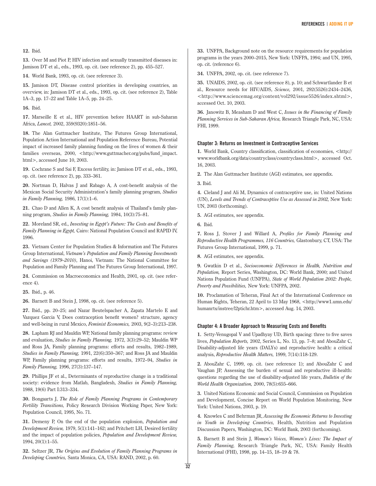#### **12.** Ibid.

**13.** Over M and Piot P, HIV infection and sexually transmitted diseases in: Jamison DT et al., eds., 1993, op. cit. (see reference 2), pp. 455–527.

**14.** World Bank, 1993, op. cit. (see reference 3).

**15.** Jamison DT, Disease control priorities in developing countries, an overview, in: Jamison DT et al., eds., 1993, op. cit. (see reference 2), Table 1A–3, pp. 17–22 and Table 1A–5, pp. 24–25.

**16.** Ibid.

**17.** Marseille E et al., HIV prevention before HAART in sub-Saharan Africa, *Lancet,* 2002, 359(9320):1851–56.

**18.** The Alan Guttmacher Institute, The Futures Group International, Population Action International and Population Reference Bureau, Potential impact of increased family planning funding on the lives of women & their families overseas, 2000, <http://www.guttmacher.org/pubs/fund\_impact. html>, accessed June 10, 2003.

**19.** Cochrane S and Sai F, Excess fertility, in: Jamison DT et al., eds., 1993, op. cit. (see reference 2), pp. 333–361.

**20.** Nortman D, Halvas J and Rabago A, A cost-benefit analysis of the Mexican Social Security Administration's family planning program, *Studies in Family Planning,* 1986, 17(1):1–6.

**21.** Chao D and Allen K, A cost benefit analysis of Thailand's family planning program, *Studies in Family Planning,* 1984, 10(3):75–81.

**22.** Moreland SR, ed., *Investing in Egypt's Future: The Costs and Benefits of Family Planning in Egypt,* Cairo: National Population Council and RAPID IV, 1996.

**23.** Vietnam Center for Population Studies & Information and The Futures Group International, *Vietnam's Population and Family Planning Investments and Savings (1979–2010)*, Hanoi, Vietnam: The National Committee for Population and Family Planning and The Futures Group International, 1997.

**24.** Commission on Macroeconomics and Health, 2001, op. cit. (see reference 4).

**25.** Ibid., p. 46.

**26.** Barnett B and Stein J, 1998, op. cit. (see reference 5).

**27.** Ibid., pp. 20–25; and Nazar Beutelspacher A, Zapata Martelo E and Vazquez Garcia V, Does contraception benefit women? structure, agency and well-being in rural Mexico, *Feminist Economics,* 2003, 9(2–3):213–238.

**28.** Lapham RJ and Mauldin WP, National family planning programs: review and evaluation, *Studies in Family Planning,* 1972, 3(3):29–52; Mauldin WP and Ross JA, Family planning programs: efforts and results, 1982–1989, *Studies in Family Planning,* 1991, 22(6):350–367; and Ross JA and Mauldin WP, Family planning programs: efforts and results, 1972–94, *Studies in Family Planning,* 1996, 27(3):137–147.

**29.** Phillips JF et al., Determinants of reproductive change in a traditional society: evidence from Matlab, Bangladesh, *Studies in Family Planning,* 1988, 19(6) Part I:313–334.

**30.** Bongaarts J, *The Role of Family Planning Programs in Contemporary Fertility Transitions,* Policy Research Division Working Paper, New York: Population Council, 1995, No. 71.

**31.** Demeny P, On the end of the population explosion, *Population and Development Review,* 1979, 5(1):141–162; and Pritchett LH, Desired fertility and the impact of population policies, *Population and Development Review,* 1994, 20(1):1–55.

**32.** Seltzer JR, *The Origins and Evolution of Family Planning Programs in Developing Countries,* Santa Monica, CA, USA: RAND, 2002, p. 60.

**33.** UNFPA, Background note on the resource requirements for population programs in the years 2000–2015, New York: UNFPA, 1994; and UN, 1995, op. cit. (reference 6).

**34.** UNFPA, 2002, op. cit. (see reference 7).

**35.** UNAIDS, 2002, op. cit. (see reference 8), p. 10; and Schwartlander B et al., Resource needs for HIV/AIDS, *Science,* 2001, 292(5526):2434–2436, <http://www.sciencemag.org/content/vol292/issue5526/index.shtml>, accessed Oct. 10, 2003.

**36.** Janowitz B, Measham D and West C, *Issues in the Financing of Family Planning Services in Sub-Saharan Africa,* Research Triangle Park, NC, USA: FHI, 1999.

#### **Chapter 3: Returns on Investment in Contraceptive Services**

**1.** World Bank, Country classification, classification of economies, <http:// www.worldbank.org/data/countryclass/countryclass.html>, accessed Oct. 16, 2003.

**2.** The Alan Guttmacher Institute (AGI) estimates, see appendix.

**3.** Ibid.

**4.** Cleland J and Ali M, Dynamics of contraceptive use, in: United Nations (UN), *Levels and Trends of Contraceptive Use as Assessed in 2002,* New York: UN, 2003 (forthcoming).

**5.** AGI estimates, see appendix.

**6.** Ibid.

**7.** Ross J, Stover J and Willard A, *Profiles for Family Planning and Reproductive Health Programmes, 116 Countries,* Glastonbury, CT, USA: The Futures Group International, 1999, p. 71.

**8.** AGI estimates, see appendix.

**9.** Gwatkin D et al., *Socioeconomic Differences in Health, Nutrition and Population,* Report Series, Washington, DC: World Bank, 2000; and United Nations Population Fund (UNFPA), *State of World Population 2002: People, Poverty and Possibilities,* New York: UNFPA, 2002.

**10.** Proclamation of Teheran, Final Act of the International Conference on Human Rights, Teheran, 22 April to 13 May 1968, <http://www1.umn.edu/ humanrts/instree/l2ptichr.htm>, accessed Aug. 14, 2003.

#### **Chapter 4: A Broader Approach to Measuring Costs and Benefits**

**1.** Setty-Venugopal V and Upadhyay UD, Birth spacing: three to five saves lives, *Population Reports,* 2002, Series L, No. 13, pp. 7–8; and AbouZahr C, Disability-adjusted life years (DALYs) and reproductive health: a critical analysis, *Reproductive Health Matters,* 1999, 7(14):118-129.

**2.** AbouZahr C, 1999, op. cit. (see reference 1); and AbouZahr C and Vaughan JP, Assessing the burden of sexual and reproductive ill-health: question*s* regarding the use of disability-adjusted life years, *Bulletin of the World Health Organization,* 2000, 78(5):655–666.

**3.** United Nations Economic and Social Council, Commission on Population and Development, Concise Report on World Population Monitoring, New York: United Nations, 2003, p. 19.

**4.** Knowles C and Behrman JR, *Assessing the Economic Returns to Investing in Youth in Developing Countries,* Health, Nutrition and Population Discussion Papers, Washington, DC: World Bank, 2003 (forthcoming).

**5.** Barnett B and Stein J, *Women's Voices, Women's Lives: The Impact of Family Planning,* Research Triangle Park, NC, USA: Family Health International (FHI), 1998, pp. 14–15, 18–19 & 78.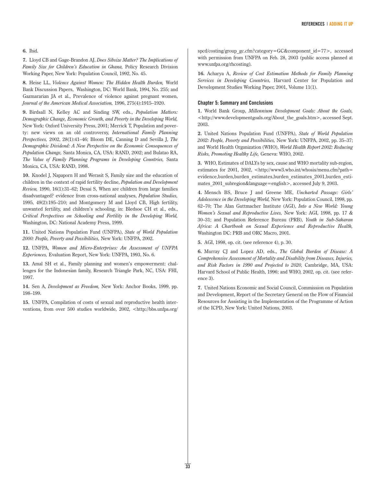#### **6.** Ibid.

**7.** Lloyd CB and Gage-Brandon AJ, *Does Sibsize Matter? The Implications of Family Size for Children's Education in Ghana,* Policy Research Division Working Paper, New York: Population Council, 1992, No. 45.

**8.** Heise LL, *Violence Against Women: The Hidden Health Burden,* World Bank Discussion Papers, Washington, DC: World Bank, 1994, No. 255; and Gazmararian JA et al., Prevalence of violence against pregnant women, *Journal of the American Medical Association,* 1996, 275(4):1915–1920.

**9.** Birdsall N, Kelley AC and Sinding SW, eds., *Population Matters: Demographic Change, Economic Growth, and Poverty in the Developing World,* New York: Oxford University Press, 2001; Merrick T, Population and poverty: new views on an old controversy, *International Family Planning Perspectives,* 2002, 28(1):41–46; Bloom DE, Canning D and Sevilla J, *The Demographic Dividend: A New Perspective on the Economic Consequences of Population Change,* Santa Monica, CA, USA: RAND, 2002; and Bulatao RA, *The Value of Family Planning Programs in Developing Countries,* Santa Monica, CA, USA: RAND, 1998.

**10.** Knodel J, Napaporn H and Werasit S, Family size and the education of children in the context of rapid fertility decline, *Population and Development Review,* 1990, 16(1):31–62; Desai S, When are children from large families disadvantaged? evidence from cross-national analyses, *Population Studies,* 1995, 49(2):195–210; and Montgomery M and Lloyd CB, High fertility, unwanted fertility, and children's schooling, in: Bledsoe CH et al., eds., *Critical Perspectives on Schooling and Fertility in the Developing World,* Washington, DC: National Academy Press, 1999.

**11.** United Nations Population Fund (UNFPA), *State of World Population 2000: People, Poverty and Possibilities,* New York: UNFPA, 2002.

**12.** UNFPA, *Women and Micro-Enterprises: An Assessment of UNFPA Experiences,* Evaluation Report, New York: UNFPA, 1993, No. 6.

**13.** Amal SH et al., Family planning and women's empowerment: challenges for the Indonesian family, Research Triangle Park, NC, USA: FHI, 1997.

**14.** Sen A, *Development as Freedom,* New York: Anchor Books, 1999, pp. 198–199.

**15.** UNFPA, Compilation of costs of sexual and reproductive health interventions, from over 500 studies worldwide, 2002, <http://bbs.unfpa.org/

spcd/costing/group\_gc.cfm?category=GC&component\_id=77>, accessed with permission from UNFPA on Feb. 28, 2003 (public access planned at www.unfpa.org/rhcosting).

**16.** Acharya A, *Review of Cost Estimation Methods for Family Planning Services in Developing Countries,* Harvard Center for Population and Development Studies Working Paper, 2001, Volume 11(1).

#### **Chapter 5: Summary and Conclusions**

**1.** World Bank Group, *Millennium Development Goals: About the Goals,* <http://www.developmentgoals.org/About\_the\_goals.htm>, accessed Sept. 2003.

**2.** United Nations Population Fund (UNFPA), *State of World Population 2002: People, Poverty and Possibilities,* New York: UNFPA, 2002, pp. 35–37; and World Health Organization (WHO), *World Health Report 2002: Reducing Risks, Promoting Healthy Life,* Geneva: WHO, 2002.

**3.** WHO, Estimates of DALYs by sex, cause and WHO mortality sub-region, estimates for 2001, 2002, <http://www3.who.int/whosis/menu.cfm?path= evidence,burden,burden\_estimates,burden\_estimates\_2001,burden\_estimates 2001 subregion&language=english>, accessed July 9, 2003.

**4.** Mensch BS, Bruce J and Greene ME, *Uncharted Passage: Girls' Adolescence in the Developing World,* New York: Population Council, 1998, pp. 62–70; The Alan Guttmacher Institute (AGI), *Into a New World: Young Women's Sexual and Reproductive Lives,* New York: AGI, 1998, pp. 17 & 30–31; and Population Reference Bureau (PRB), *Youth in Sub-Saharan Africa: A Chartbook on Sexual Experience and Reproductive Health,* Washington DC: PRB and ORC Macro, 2001.

**5.** AGI, 1998, op. cit. (see reference 4), p. 30.

**6.** Murray CJ and Lopez AD, eds., *The Global Burden of Disease: A Comprehensive Assessment of Mortality and Disability from Diseases, Injuries, and Risk Factors in 1990 and Projected to 2020,* Cambridge, MA, USA: Harvard School of Public Health, 1996; and WHO, 2002, op. cit. (see reference 3).

**7.** United Nations Economic and Social Council, Commission on Population and Development, Report of the Secretary General on the Flow of Financial Resources for Assisting in the Implementation of the Programme of Action of the ICPD, New York: United Nations, 2003.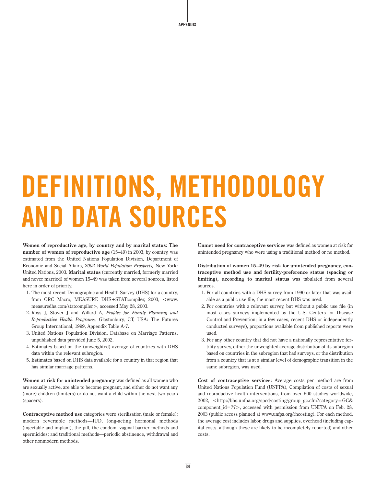**APPENDIX**

# **DEFINITIONS, METHODOLOGY AND DATA SOURCES**

**Women of reproductive age, by country and by marital status: The number of women of reproductive age** (15–49) in 2003, by country, was estimated from the United Nations Population Division, Department of Economic and Social Affairs, *2002 World Population Prospects,* New York: United Nations, 2003. **Marital status** (currently married, formerly married and never married) of women 15–49 was taken from several sources, listed here in order of priority.

- 1. The most recent Demographic and Health Survey (DHS) for a country, from ORC Macro, MEASURE DHS+STATcompiler, 2003, <www. measuredhs.com/statcompiler>, accessed May 28, 2003.
- 2. Ross J, Stover J and Willard A, *Profiles for Family Planning and Reproductive Health Programs,* Glastonbury, CT, USA: The Futures Group International, 1999, Appendix Table A-7.
- 3. United Nations Population Division, Database on Marriage Patterns, unpublished data provided June 5, 2002.
- 4. Estimates based on the (unweighted) average of countries with DHS data within the relevant subregion.
- 5. Estimates based on DHS data available for a country in that region that has similar marriage patterns.

**Women at risk for unintended pregnancy** was defined as all women who are sexually active, are able to become pregnant, and either do not want any (more) children (limiters) or do not want a child within the next two years (spacers).

**Contraceptive method use** categories were sterilization (male or female); modern reversible methods—IUD, long-acting hormonal methods (injectable and implant), the pill, the condom, vaginal barrier methods and spermicides; and traditional methods—periodic abstinence, withdrawal and other nonmodern methods.

**Unmet need for contraceptive services** was defined as women at risk for unintended pregnancy who were using a traditional method or no method.

**Distribution of women 15–49 by risk for unintended pregnancy, contraceptive method use and fertility-preference status (spacing or limiting), according to marital status** was tabulated from several sources.

- 1. For all countries with a DHS survey from 1990 or later that was available as a public use file, the most recent DHS was used.
- 2. For countries with a relevant survey, but without a public use file (in most cases surveys implemented by the U.S. Centers for Disease Control and Prevention; in a few cases, recent DHS or independently conducted surveys), proportions available from published reports were used.
- 3. For any other country that did not have a nationally representative fertility survey, either the unweighted average distribution of its subregion based on countries in the subregion that had surveys, or the distribution from a country that is at a similar level of demographic transition in the same subregion, was used.

**Cost of contraceptive services:** Average costs per method are from United Nations Population Fund (UNFPA), Compilation of costs of sexual and reproductive health interventions, from over 500 studies worldwide, 2002, <http://bbs.unfpa.org/spcd/costing/group\_gc.cfm?category=GC& component\_id=77>, accessed with permission from UNFPA on Feb. 28, 2003 (public access planned at www.unfpa.org/rhcosting). For each method, the average cost includes labor, drugs and supplies, overhead (including capital costs, although these are likely to be incompletely reported) and other costs.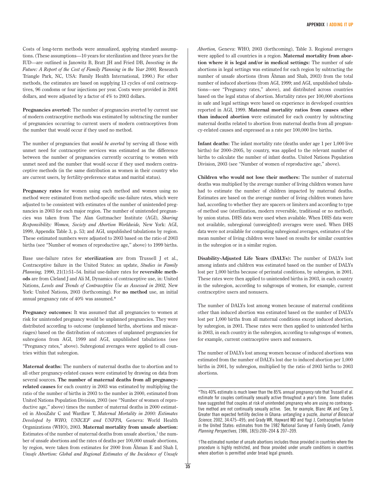Costs of long-term methods were annualized, applying standard assumptions. (These assumptions—10 years for sterilization and three years for the IUD—are outlined in Janowitz B, Bratt JH and Fried DB, *Investing in the Future: A Report of the Cost of Family Planning in the Year 2000,* Research Triangle Park, NC, USA: Family Health International, 1990.) For other methods, the estimates are based on supplying 13 cycles of oral contraceptives, 96 condoms or four injections per year. Costs were provided in 2001 dollars, and were adjusted by a factor of 4% to 2003 dollars.

**Pregnancies averted:** The number of pregnancies averted by current use of modern contraceptive methods was estimated by subtracting the number of pregnancies occurring to current users of modern contraceptives from the number that would occur if they used no method.

The number of pregnancies that *would be averted* by serving all those with unmet need for contraceptive services was estimated as the difference between the number of pregnancies currently occurring to women with unmet need and the number that would occur if they used modern contraceptive methods (in the same distribution as women in their country who are current users, by fertility-preference status and marital status).

**Pregnancy rates** for women using each method and women using no method were estimated from method-specific use-failure rates, which were adjusted to be consistent with estimates of the number of unintended pregnancies in 2003 for each major region. The number of unintended pregnancies was taken from The Alan Guttmacher Institute (AGI), *Sharing Responsibility: Women, Society and Abortion Worldwide,* New York: AGI, 1999, Appendix Table 3, p. 53; and AGI, unpublished tabulations by region. These estimated numbers were adjusted to 2003 based on the ratio of 2003 births (see "Number of women of reproductive age," above) to 1999 births.

Base use-failure rates for **sterilization** are from Trussell J et al., Contraceptive failure in the United States: an update, *Studies in Family Planning,* 1990, 21(1):51–54. Initial use-failure rates for **reversible methods** are from Cleland J and Ali M, Dynamics of contraceptive use, in: United Nations, *Levels and Trends of Contraceptive Use as Assessed in 2002,* New York: United Nations, 2003 (forthcoming). For **no method** use, an initial annual pregnancy rate of 40% was assumed.\*

**Pregnancy outcomes:** It was assumed that all pregnancies to women at risk for unintended pregnancy would be unplanned pregnancies. They were distributed according to outcome (unplanned births, abortions and miscarriages) based on the distribution of outcomes of unplanned pregnancies for subregions from AGI, 1999 and AGI, unpublished tabulations (see "Pregnancy rates," above). Subregional averages were applied to all countries within that subregion.

**Maternal deaths:** The numbers of maternal deaths due to abortion and to all other pregnancy-related causes were estimated by drawing on data from several sources. **The number of maternal deaths from all pregnancyrelated causes** for each country in 2003 was estimated by multiplying the ratio of the number of births in 2003 to the number in 2000, estimated from United Nations Population Division, 2003 (see "Number of women of reproductive age," above) times the number of maternal deaths in 2000 estimated in AbouZahr C and Wardlaw T, *Maternal Mortality in 2000: Estimates Developed by WHO, UNICEF and UNFPA,* Geneva: World Health Organizations (WHO), 2003. **Maternal mortality from unsafe abortion:** Estimates of the number of maternal deaths from unsafe abortion, $\phi$  the number of unsafe abortions and the rates of deaths per 100,000 unsafe abortions, by region, were taken from estimates for 2000 from Åhman E and Shah I, *Unsafe Abortion: Global and Regional Estimates of the Incidence of Unsafe* *Abortion,* Geneva: WHO, 2003 (forthcoming), Table 3. Regional averages were applied to all countries in a region. **Maternal mortality from abortion where it is legal and/or in medical settings:** The number of safe abortions in legal settings was estimated for each region by subtracting the number of unsafe abortions (from Åhman and Shah, 2003) from the total number of induced abortions (from AGI, 1999; and AGI, unpublished tabulations—see "Pregnancy rates," above), and distributed across countries based on the legal status of abortion. Mortality rates per 100,000 abortions in safe and legal settings were based on experience in developed countries reported in AGI, 1999. **Maternal mortality ratios from causes other than induced abortion** were estimated for each country by subtracting maternal deaths related to abortion from maternal deaths from all pregnancy-related causes and expressed as a rate per 100,000 live births.

**Infant deaths:** The infant mortality rate (deaths under age 1 per 1,000 live births) for 2000–2005, by country, was applied to the relevant number of births to calculate the number of infant deaths. United Nations Population Division, 2003 (see "Number of women of reproductive age," above).

**Children who would not lose their mothers:** The number of maternal deaths was multiplied by the average number of living children women have had to estimate the number of children impacted by maternal deaths. Estimates are based on the average number of living children women have had, according to whether they are spacers or limiters and according to type of method use (sterilization, modern reversible, traditional or no method), by union status. DHS data were used when available. When DHS data were not available, subregional (unweighted) averages were used. When DHS data were not available for computing subregional averages, estimates of the mean number of living children were based on results for similar countries in the subregion or in a similar region.

**Disability-Adjusted Life Years (DALYs):** The number of DALYs lost among infants and children was estimated based on the number of DALYs lost per 1,000 births because of perinatal conditions, by subregion, in 2001. These rates were then applied to unintended births in 2003, in each country in the subregion, according to subgroups of women, for example, current contraceptive users and nonusers.

The number of DALYs lost among women because of maternal conditions other than induced abortion was estimated based on the number of DALYs lost per 1,000 births from all maternal conditions except induced abortion, by subregion, in 2001. These rates were then applied to unintended births in 2003, in each country in the subregion, according to subgroups of women, for example, current contraceptive users and nonusers.

The number of DALYs lost among women because of induced abortions was estimated from the number of DALYs lost due to induced abortion per 1,000 births in 2001, by subregion, multiplied by the ratio of 2003 births to 2003 abortions.

<sup>\*</sup>This 40% estimate is much lower than the 85% annual pregnancy rate that Trussell et al. estimate for couples continually sexually active throughout a year's time. Some studies have suggested that couples at risk of unintended pregnancy who are using no contraceptive method are not continually sexually active. See, for example, Blanc AK and Grey S, Greater than expected fertility decline in Ghana: untangling a puzzle, Journal of Biosocial Science, 2002, 34:475–495; and Grady WR, Hayward MD and Yagi J, Contraceptive failure in the United States: estimates from the 1982 National Survey of Family Growth, Family Planning Perspectives, 1986, 18(5):200–204 & 207–209.

<sup>†</sup>The estimated number of unsafe abortions includes those provided in countries where the procedure is highly restricted, and those provided under unsafe conditions in countries where abortion is permitted under broad legal grounds.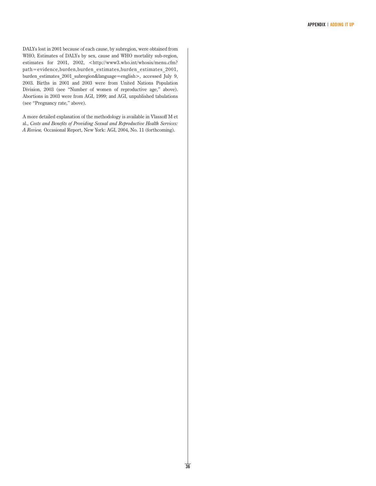DALYs lost in 2001 because of each cause, by subregion, were obtained from WHO, Estimates of DALYs by sex, cause and WHO mortality sub-region, estimates for 2001, 2002, <http://www3.who.int/whosis/menu.cfm? path=evidence,burden,burden\_estimates,burden\_estimates\_2001, burden\_estimates\_2001\_subregion&language=english>, accessed July 9, 2003. Births in 2001 and 2003 were from United Nations Population Division, 2003 (see "Number of women of reproductive age," above). Abortions in 2003 were from AGI, 1999; and AGI, unpublished tabulations (see "Pregnancy rate," above).

A more detailed explanation of the methodology is available in Vlassoff M et al., *Costs and Benefits of Providing Sexual and Reproductive Health Services: A Review,* Occasional Report, New York: AGI, 2004, No. 11 (forthcoming).